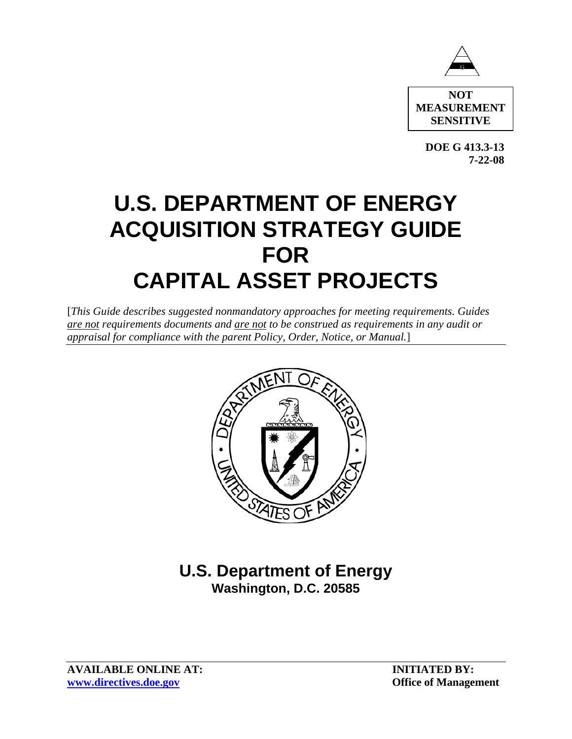

**NOT MEASUREMENT SENSITIVE** 

**DOE G 413.3-13 7-22-08** 

# **U.S. DEPARTMENT OF ENERGY ACQUISITION STRATEGY GUIDE FOR CAPITAL ASSET PROJECTS**

[*This Guide describes suggested nonmandatory approaches for meeting requirements. Guides are not requirements documents and are not to be construed as requirements in any audit or appraisal for compliance with the parent Policy, Order, Notice, or Manual.*]



# **U.S. Department of Energy Washington, D.C. 20585**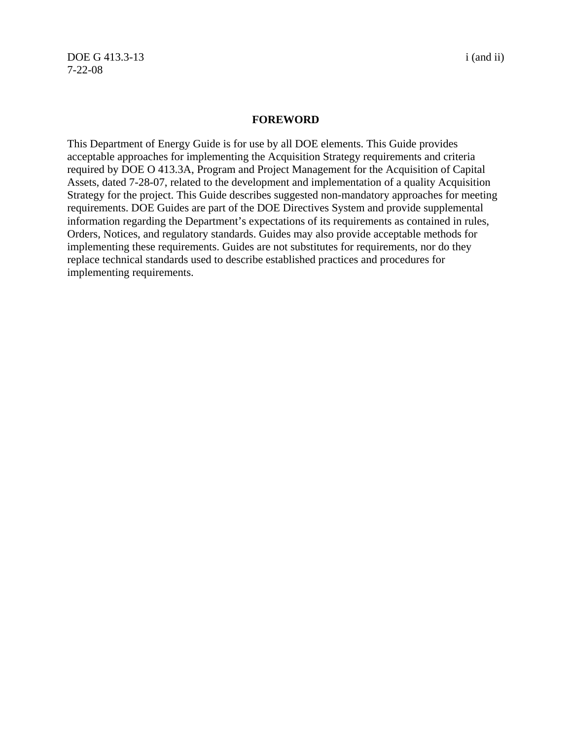DOE G 413.3-13 i (and ii) 7-22-08

#### **FOREWORD**

This Department of Energy Guide is for use by all DOE elements. This Guide provides acceptable approaches for implementing the Acquisition Strategy requirements and criteria required by DOE O 413.3A, Program and Project Management for the Acquisition of Capital Assets, dated 7-28-07, related to the development and implementation of a quality Acquisition Strategy for the project. This Guide describes suggested non-mandatory approaches for meeting requirements. DOE Guides are part of the DOE Directives System and provide supplemental information regarding the Department's expectations of its requirements as contained in rules, Orders, Notices, and regulatory standards. Guides may also provide acceptable methods for implementing these requirements. Guides are not substitutes for requirements, nor do they replace technical standards used to describe established practices and procedures for implementing requirements.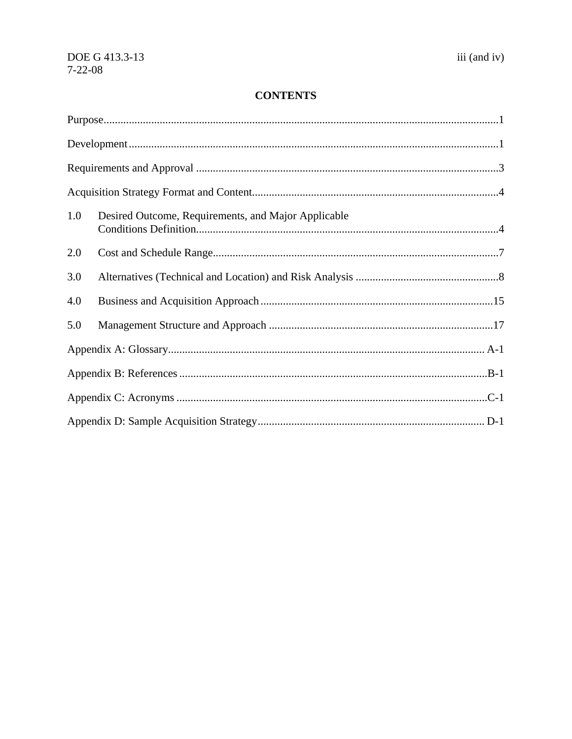# **CONTENTS**

| 1.0 | Desired Outcome, Requirements, and Major Applicable |  |  |  |  |  |
|-----|-----------------------------------------------------|--|--|--|--|--|
| 2.0 |                                                     |  |  |  |  |  |
| 3.0 |                                                     |  |  |  |  |  |
| 4.0 |                                                     |  |  |  |  |  |
| 5.0 |                                                     |  |  |  |  |  |
|     |                                                     |  |  |  |  |  |
|     |                                                     |  |  |  |  |  |
|     |                                                     |  |  |  |  |  |
|     |                                                     |  |  |  |  |  |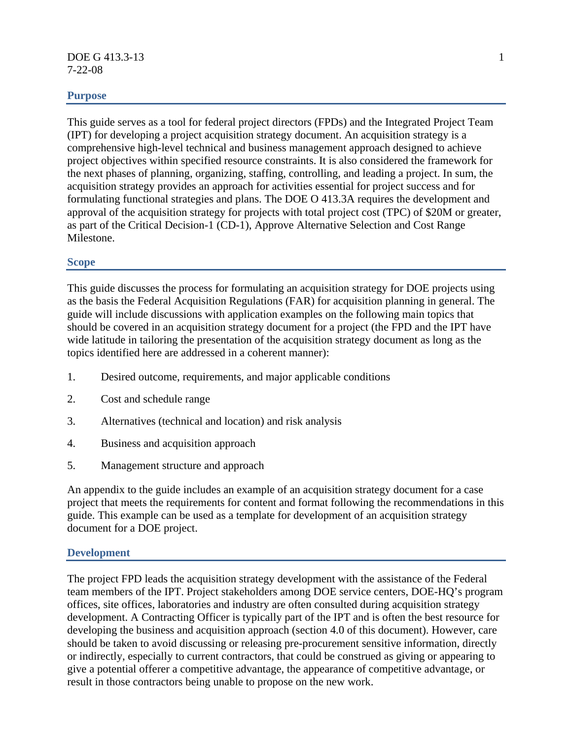#### **DOE G 413.3-13** 1 7-22-08

# **Purpose**

This guide serves as a tool for federal project directors (FPDs) and the Integrated Project Team (IPT) for developing a project acquisition strategy document. An acquisition strategy is a comprehensive high-level technical and business management approach designed to achieve project objectives within specified resource constraints. It is also considered the framework for the next phases of planning, organizing, staffing, controlling, and leading a project. In sum, the acquisition strategy provides an approach for activities essential for project success and for formulating functional strategies and plans. The DOE O 413.3A requires the development and approval of the acquisition strategy for projects with total project cost (TPC) of \$20M or greater, as part of the Critical Decision-1 (CD-1), Approve Alternative Selection and Cost Range Milestone.

#### **Scope**

This guide discusses the process for formulating an acquisition strategy for DOE projects using as the basis the Federal Acquisition Regulations (FAR) for acquisition planning in general. The guide will include discussions with application examples on the following main topics that should be covered in an acquisition strategy document for a project (the FPD and the IPT have wide latitude in tailoring the presentation of the acquisition strategy document as long as the topics identified here are addressed in a coherent manner):

- 1. Desired outcome, requirements, and major applicable conditions
- 2. Cost and schedule range
- 3. Alternatives (technical and location) and risk analysis
- 4. Business and acquisition approach
- 5. Management structure and approach

An appendix to the guide includes an example of an acquisition strategy document for a case project that meets the requirements for content and format following the recommendations in this guide. This example can be used as a template for development of an acquisition strategy document for a DOE project.

#### **Development**

The project FPD leads the acquisition strategy development with the assistance of the Federal team members of the IPT. Project stakeholders among DOE service centers, DOE-HQ's program offices, site offices, laboratories and industry are often consulted during acquisition strategy development. A Contracting Officer is typically part of the IPT and is often the best resource for developing the business and acquisition approach (section 4.0 of this document). However, care should be taken to avoid discussing or releasing pre-procurement sensitive information, directly or indirectly, especially to current contractors, that could be construed as giving or appearing to give a potential offerer a competitive advantage, the appearance of competitive advantage, or result in those contractors being unable to propose on the new work.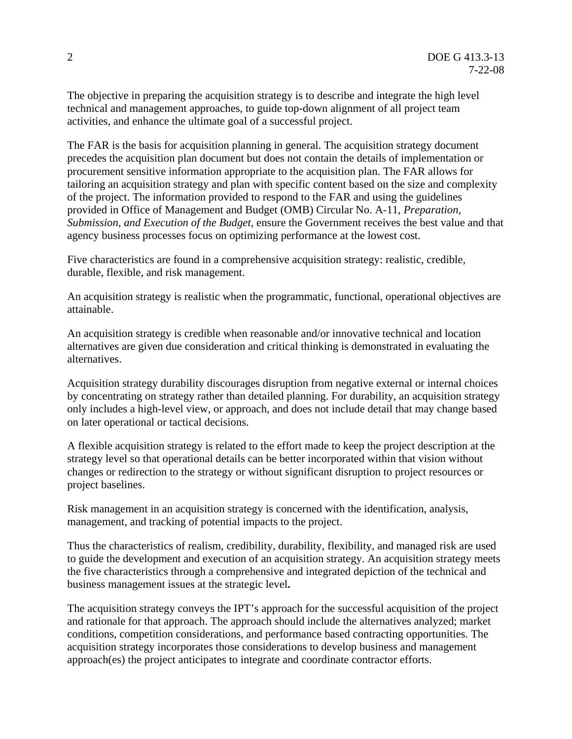The objective in preparing the acquisition strategy is to describe and integrate the high level technical and management approaches, to guide top-down alignment of all project team activities, and enhance the ultimate goal of a successful project.

The FAR is the basis for acquisition planning in general. The acquisition strategy document precedes the acquisition plan document but does not contain the details of implementation or procurement sensitive information appropriate to the acquisition plan. The FAR allows for tailoring an acquisition strategy and plan with specific content based on the size and complexity of the project. The information provided to respond to the FAR and using the guidelines provided in Office of Management and Budget (OMB) Circular No. A-11, *Preparation, Submission, and Execution of the Budget*, ensure the Government receives the best value and that agency business processes focus on optimizing performance at the lowest cost.

Five characteristics are found in a comprehensive acquisition strategy: realistic, credible, durable, flexible, and risk management.

An acquisition strategy is realistic when the programmatic, functional, operational objectives are attainable.

An acquisition strategy is credible when reasonable and/or innovative technical and location alternatives are given due consideration and critical thinking is demonstrated in evaluating the alternatives.

Acquisition strategy durability discourages disruption from negative external or internal choices by concentrating on strategy rather than detailed planning. For durability, an acquisition strategy only includes a high-level view, or approach, and does not include detail that may change based on later operational or tactical decisions.

A flexible acquisition strategy is related to the effort made to keep the project description at the strategy level so that operational details can be better incorporated within that vision without changes or redirection to the strategy or without significant disruption to project resources or project baselines.

Risk management in an acquisition strategy is concerned with the identification, analysis, management, and tracking of potential impacts to the project.

Thus the characteristics of realism, credibility, durability, flexibility, and managed risk are used to guide the development and execution of an acquisition strategy. An acquisition strategy meets the five characteristics through a comprehensive and integrated depiction of the technical and business management issues at the strategic level**.** 

The acquisition strategy conveys the IPT's approach for the successful acquisition of the project and rationale for that approach. The approach should include the alternatives analyzed; market conditions, competition considerations, and performance based contracting opportunities. The acquisition strategy incorporates those considerations to develop business and management approach(es) the project anticipates to integrate and coordinate contractor efforts.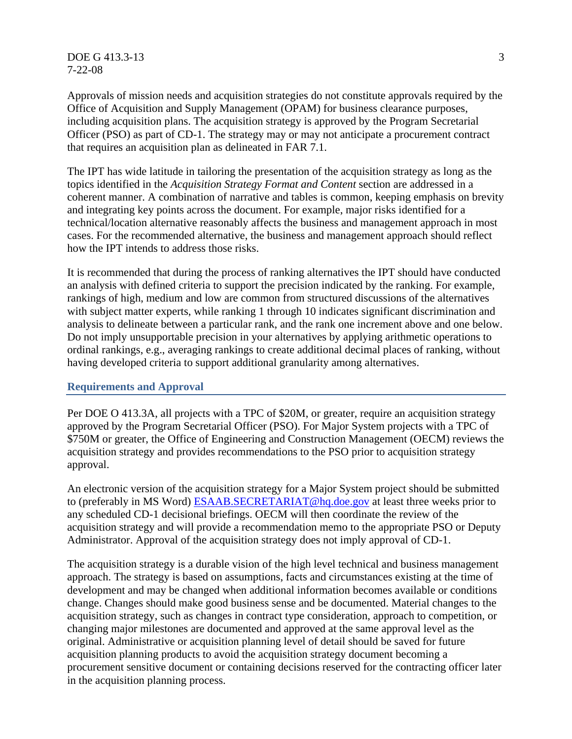$DOE G 413.3-13$  3 7-22-08

Approvals of mission needs and acquisition strategies do not constitute approvals required by the Office of Acquisition and Supply Management (OPAM) for business clearance purposes, including acquisition plans. The acquisition strategy is approved by the Program Secretarial Officer (PSO) as part of CD-1. The strategy may or may not anticipate a procurement contract that requires an acquisition plan as delineated in FAR 7.1.

The IPT has wide latitude in tailoring the presentation of the acquisition strategy as long as the topics identified in the *Acquisition Strategy Format and Content* section are addressed in a coherent manner. A combination of narrative and tables is common, keeping emphasis on brevity and integrating key points across the document. For example, major risks identified for a technical/location alternative reasonably affects the business and management approach in most cases. For the recommended alternative, the business and management approach should reflect how the IPT intends to address those risks.

It is recommended that during the process of ranking alternatives the IPT should have conducted an analysis with defined criteria to support the precision indicated by the ranking. For example, rankings of high, medium and low are common from structured discussions of the alternatives with subject matter experts, while ranking 1 through 10 indicates significant discrimination and analysis to delineate between a particular rank, and the rank one increment above and one below. Do not imply unsupportable precision in your alternatives by applying arithmetic operations to ordinal rankings, e.g., averaging rankings to create additional decimal places of ranking, without having developed criteria to support additional granularity among alternatives.

#### **Requirements and Approval**

Per DOE O 413.3A, all projects with a TPC of \$20M, or greater, require an acquisition strategy approved by the Program Secretarial Officer (PSO). For Major System projects with a TPC of \$750M or greater, the Office of Engineering and Construction Management (OECM) reviews the acquisition strategy and provides recommendations to the PSO prior to acquisition strategy approval.

An electronic version of the acquisition strategy for a Major System project should be submitted to (preferably in MS Word) ESAAB.SECRETARIAT@hq.doe.gov at least three weeks prior to any scheduled CD-1 decisional briefings. OECM will then coordinate the review of the acquisition strategy and will provide a recommendation memo to the appropriate PSO or Deputy Administrator. Approval of the acquisition strategy does not imply approval of CD-1.

The acquisition strategy is a durable vision of the high level technical and business management approach. The strategy is based on assumptions, facts and circumstances existing at the time of development and may be changed when additional information becomes available or conditions change. Changes should make good business sense and be documented. Material changes to the acquisition strategy, such as changes in contract type consideration, approach to competition, or changing major milestones are documented and approved at the same approval level as the original. Administrative or acquisition planning level of detail should be saved for future acquisition planning products to avoid the acquisition strategy document becoming a procurement sensitive document or containing decisions reserved for the contracting officer later in the acquisition planning process.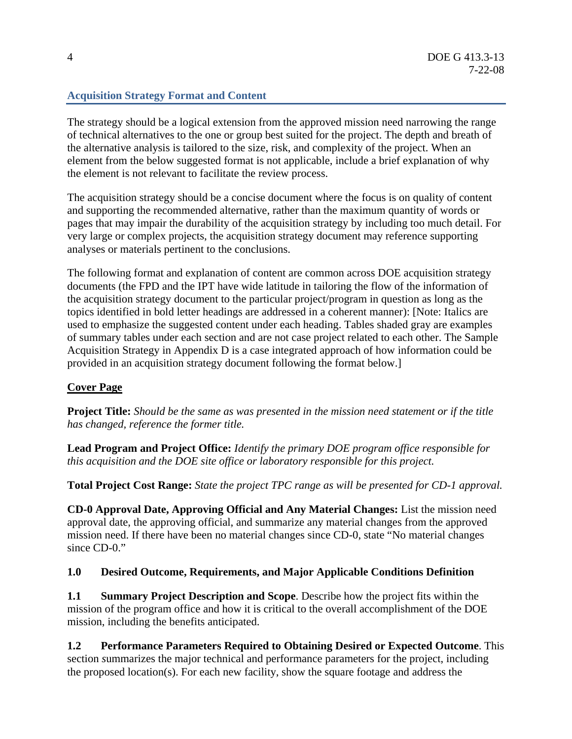# **Acquisition Strategy Format and Content**

The strategy should be a logical extension from the approved mission need narrowing the range of technical alternatives to the one or group best suited for the project. The depth and breath of the alternative analysis is tailored to the size, risk, and complexity of the project. When an element from the below suggested format is not applicable, include a brief explanation of why the element is not relevant to facilitate the review process.

The acquisition strategy should be a concise document where the focus is on quality of content and supporting the recommended alternative, rather than the maximum quantity of words or pages that may impair the durability of the acquisition strategy by including too much detail. For very large or complex projects, the acquisition strategy document may reference supporting analyses or materials pertinent to the conclusions.

The following format and explanation of content are common across DOE acquisition strategy documents (the FPD and the IPT have wide latitude in tailoring the flow of the information of the acquisition strategy document to the particular project/program in question as long as the topics identified in bold letter headings are addressed in a coherent manner): [Note: Italics are used to emphasize the suggested content under each heading. Tables shaded gray are examples of summary tables under each section and are not case project related to each other. The Sample Acquisition Strategy in Appendix D is a case integrated approach of how information could be provided in an acquisition strategy document following the format below.]

# **Cover Page**

**Project Title:** *Should be the same as was presented in the mission need statement or if the title has changed, reference the former title.* 

**Lead Program and Project Office:** *Identify the primary DOE program office responsible for this acquisition and the DOE site office or laboratory responsible for this project.* 

**Total Project Cost Range:** *State the project TPC range as will be presented for CD-1 approval.* 

**CD-0 Approval Date, Approving Official and Any Material Changes:** List the mission need approval date, the approving official, and summarize any material changes from the approved mission need. If there have been no material changes since CD-0, state "No material changes since CD-0."

# **1.0 Desired Outcome, Requirements, and Major Applicable Conditions Definition**

**1.1 Summary Project Description and Scope**. Describe how the project fits within the mission of the program office and how it is critical to the overall accomplishment of the DOE mission, including the benefits anticipated.

**1.2 Performance Parameters Required to Obtaining Desired or Expected Outcome**. This section *s*ummarizes the major technical and performance parameters for the project, including the proposed location(s). For each new facility, show the square footage and address the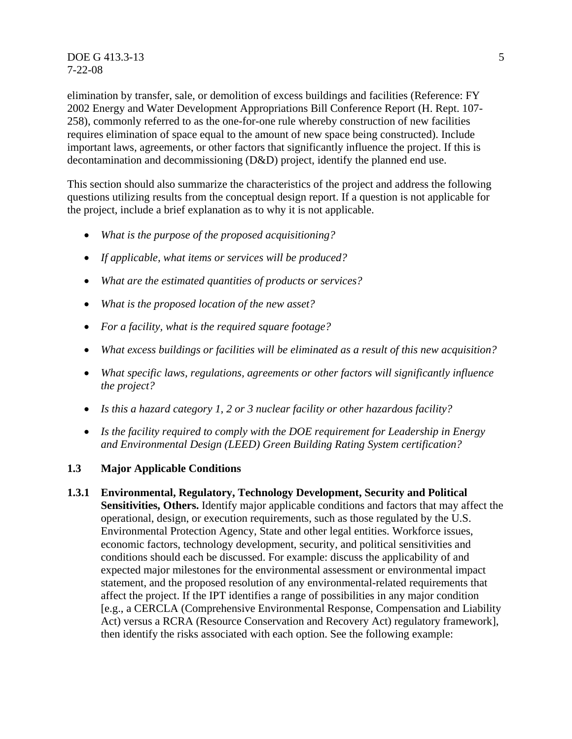**DOE G 413.3-13** 5 7-22-08

elimination by transfer, sale, or demolition of excess buildings and facilities (Reference: FY 2002 Energy and Water Development Appropriations Bill Conference Report (H. Rept. 107- 258), commonly referred to as the one-for-one rule whereby construction of new facilities requires elimination of space equal to the amount of new space being constructed). Include important laws, agreements, or other factors that significantly influence the project. If this is decontamination and decommissioning (D&D) project, identify the planned end use.

This section should also summarize the characteristics of the project and address the following questions utilizing results from the conceptual design report. If a question is not applicable for the project, include a brief explanation as to why it is not applicable.

- *What is the purpose of the proposed acquisitioning?*
- *If applicable, what items or services will be produced?*
- *What are the estimated quantities of products or services?*
- *What is the proposed location of the new asset?*
- *For a facility, what is the required square footage?*
- *What excess buildings or facilities will be eliminated as a result of this new acquisition?*
- *What specific laws, regulations, agreements or other factors will significantly influence the project?*
- *Is this a hazard category 1, 2 or 3 nuclear facility or other hazardous facility?*
- *Is the facility required to comply with the DOE requirement for Leadership in Energy and Environmental Design (LEED) Green Building Rating System certification?*

# **1.3 Major Applicable Conditions**

**1.3.1 Environmental, Regulatory, Technology Development, Security and Political Sensitivities, Others.** Identify major applicable conditions and factors that may affect the operational, design, or execution requirements, such as those regulated by the U.S. Environmental Protection Agency, State and other legal entities. Workforce issues, economic factors, technology development, security, and political sensitivities and conditions should each be discussed. For example: discuss the applicability of and expected major milestones for the environmental assessment or environmental impact statement, and the proposed resolution of any environmental-related requirements that affect the project. If the IPT identifies a range of possibilities in any major condition [e.g., a CERCLA (Comprehensive Environmental Response, Compensation and Liability Act) versus a RCRA (Resource Conservation and Recovery Act) regulatory framework], then identify the risks associated with each option. See the following example: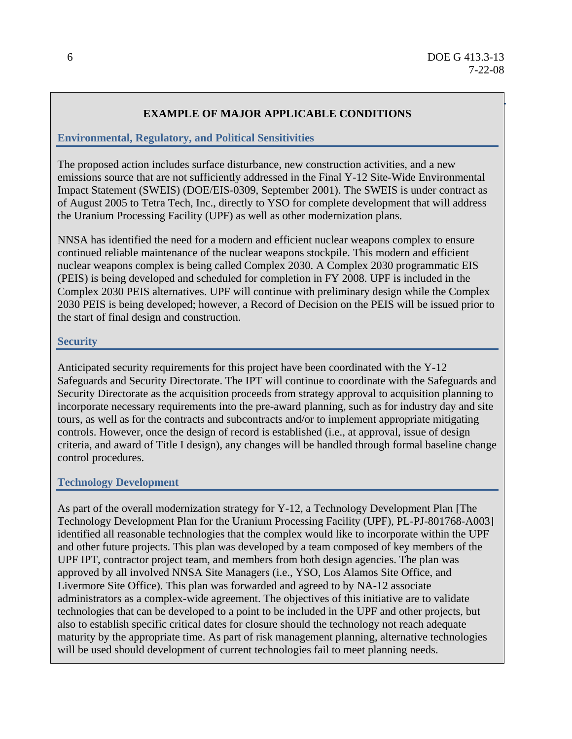# **EXAMPLE OF MAJOR APPLICABLE CONDITIONS**

# **Environmental, Regulatory, and Political Sensitivities**

The proposed action includes surface disturbance, new construction activities, and a new emissions source that are not sufficiently addressed in the Final Y-12 Site-Wide Environmental Impact Statement (SWEIS) (DOE/EIS-0309, September 2001). The SWEIS is under contract as of August 2005 to Tetra Tech, Inc., directly to YSO for complete development that will address the Uranium Processing Facility (UPF) as well as other modernization plans.

NNSA has identified the need for a modern and efficient nuclear weapons complex to ensure continued reliable maintenance of the nuclear weapons stockpile. This modern and efficient nuclear weapons complex is being called Complex 2030. A Complex 2030 programmatic EIS (PEIS) is being developed and scheduled for completion in FY 2008. UPF is included in the Complex 2030 PEIS alternatives. UPF will continue with preliminary design while the Complex 2030 PEIS is being developed; however, a Record of Decision on the PEIS will be issued prior to the start of final design and construction.

# **Security**

Anticipated security requirements for this project have been coordinated with the Y-12 Safeguards and Security Directorate. The IPT will continue to coordinate with the Safeguards and Security Directorate as the acquisition proceeds from strategy approval to acquisition planning to incorporate necessary requirements into the pre-award planning, such as for industry day and site tours, as well as for the contracts and subcontracts and/or to implement appropriate mitigating controls. However, once the design of record is established (i.e., at approval, issue of design criteria, and award of Title I design), any changes will be handled through formal baseline change control procedures.

# **Technology Development**

As part of the overall modernization strategy for Y-12, a Technology Development Plan [The Technology Development Plan for the Uranium Processing Facility (UPF), PL-PJ-801768-A003] identified all reasonable technologies that the complex would like to incorporate within the UPF and other future projects. This plan was developed by a team composed of key members of the UPF IPT, contractor project team, and members from both design agencies. The plan was approved by all involved NNSA Site Managers (i.e., YSO, Los Alamos Site Office, and Livermore Site Office). This plan was forwarded and agreed to by NA-12 associate administrators as a complex-wide agreement. The objectives of this initiative are to validate technologies that can be developed to a point to be included in the UPF and other projects, but also to establish specific critical dates for closure should the technology not reach adequate maturity by the appropriate time. As part of risk management planning, alternative technologies will be used should development of current technologies fail to meet planning needs.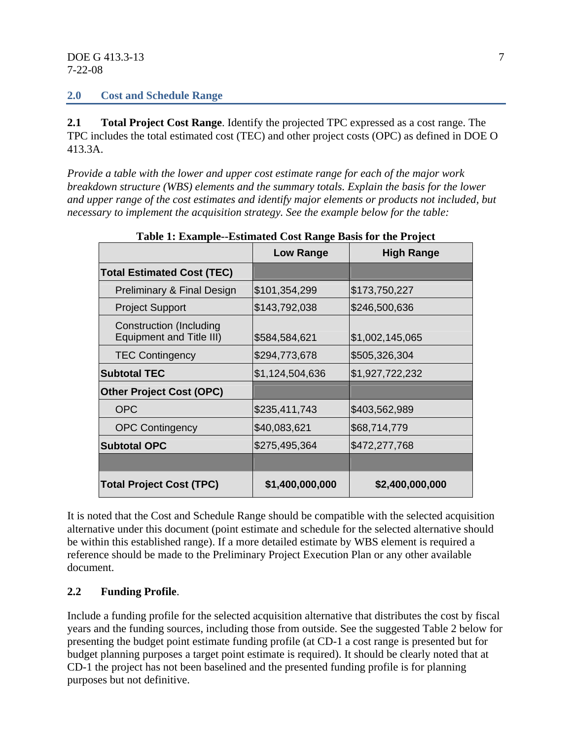# **2.0 Cost and Schedule Range**

**2.1 Total Project Cost Range**. Identify the projected TPC expressed as a cost range. The TPC includes the total estimated cost (TEC) and other project costs (OPC) as defined in DOE O 413.3A.

*Provide a table with the lower and upper cost estimate range for each of the major work breakdown structure (WBS) elements and the summary totals. Explain the basis for the lower and upper range of the cost estimates and identify major elements or products not included, but necessary to implement the acquisition strategy. See the example below for the table:* 

|                                                            | Low Range       | <b>High Range</b> |
|------------------------------------------------------------|-----------------|-------------------|
| <b>Total Estimated Cost (TEC)</b>                          |                 |                   |
| Preliminary & Final Design                                 | \$101,354,299   | \$173,750,227     |
| <b>Project Support</b>                                     | \$143,792,038   | \$246,500,636     |
| Construction (Including<br><b>Equipment and Title III)</b> | \$584,584,621   | \$1,002,145,065   |
| <b>TEC Contingency</b>                                     | \$294,773,678   | \$505,326,304     |
| <b>Subtotal TEC</b>                                        | \$1,124,504,636 | \$1,927,722,232   |
| <b>Other Project Cost (OPC)</b>                            |                 |                   |
| <b>OPC</b>                                                 | \$235,411,743   | \$403,562,989     |
| <b>OPC Contingency</b>                                     | \$40,083,621    | \$68,714,779      |
| <b>Subtotal OPC</b>                                        | \$275,495,364   | \$472,277,768     |
|                                                            |                 |                   |
| <b>Total Project Cost (TPC)</b>                            | \$1,400,000,000 | \$2,400,000,000   |

**Table 1: Example--Estimated Cost Range Basis for the Project** 

It is noted that the Cost and Schedule Range should be compatible with the selected acquisition alternative under this document (point estimate and schedule for the selected alternative should be within this established range). If a more detailed estimate by WBS element is required a reference should be made to the Preliminary Project Execution Plan or any other available document.

# **2.2 Funding Profile**.

Include a funding profile for the selected acquisition alternative that distributes the cost by fiscal years and the funding sources, including those from outside. See the suggested Table 2 below for presenting the budget point estimate funding profile (at CD-1 a cost range is presented but for budget planning purposes a target point estimate is required). It should be clearly noted that at CD-1 the project has not been baselined and the presented funding profile is for planning purposes but not definitive.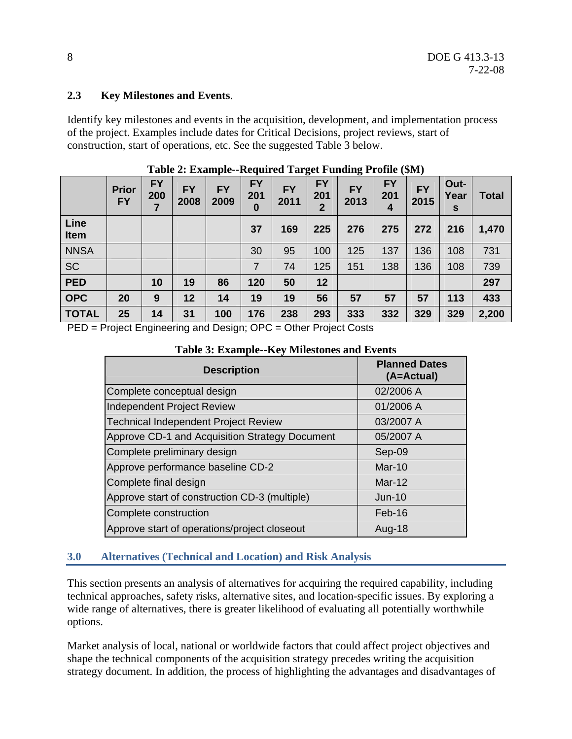# **2.3 Key Milestones and Events**.

Identify key milestones and events in the acquisition, development, and implementation process of the project. Examples include dates for Critical Decisions, project reviews, start of construction, start of operations, etc. See the suggested Table 3 below.

|                     | <b>Prior</b><br><b>FY</b> | <b>FY</b><br>200 | <b>FY</b><br>2008 | <b>FY</b><br>2009 | <b>FY</b><br>201<br>$\bf{0}$ | <b>FY</b><br>2011    | <b>FY</b><br>201<br>2 | <b>FY</b><br>2013    | <b>FY</b><br>201<br>4 | <b>FY</b><br>2015 | Out-<br>Year<br>S | <b>Total</b> |
|---------------------|---------------------------|------------------|-------------------|-------------------|------------------------------|----------------------|-----------------------|----------------------|-----------------------|-------------------|-------------------|--------------|
| Line<br>Item        |                           |                  |                   |                   | 37                           | 169                  | 225                   | 276                  | 275                   | 272               | 216               | 1,470        |
| <b>NNSA</b>         |                           |                  |                   |                   | 30                           | 95                   | 100                   | 125                  | 137                   | 136               | 108               | 731          |
| <b>SC</b>           |                           |                  |                   |                   | 7                            | 74                   | 125                   | 151                  | 138                   | 136               | 108               | 739          |
| <b>PED</b>          |                           | 10               | 19                | 86                | 120                          | 50                   | 12                    |                      |                       |                   |                   | 297          |
| <b>OPC</b>          | 20                        | 9                | 12                | 14                | 19                           | 19                   | 56                    | 57                   | 57                    | 57                | 113               | 433          |
| <b>TOTAL</b><br>--- | 25                        | 14               | 31                | 100               | 176<br>---                   | 238<br>$\sim$ $\sim$ | 293                   | 333<br>$\sim$ $\sim$ | 332                   | 329               | 329               | 2,200        |

**Table 2: Example--Required Target Funding Profile (\$M)** 

PED = Project Engineering and Design; OPC = Other Project Costs

| <b>Description</b>                             | <b>Planned Dates</b><br>(A=Actual) |
|------------------------------------------------|------------------------------------|
| Complete conceptual design                     | 02/2006 A                          |
| <b>Independent Project Review</b>              | 01/2006 A                          |
| <b>Technical Independent Project Review</b>    | 03/2007 A                          |
| Approve CD-1 and Acquisition Strategy Document | 05/2007 A                          |
| Complete preliminary design                    | Sep-09                             |
| Approve performance baseline CD-2              | $Mar-10$                           |
| Complete final design                          | Mar-12                             |
| Approve start of construction CD-3 (multiple)  | $Jun-10$                           |
| Complete construction                          | Feb-16                             |
| Approve start of operations/project closeout   | Aug-18                             |

# **Table 3: Example--Key Milestones and Events**

# **3.0 Alternatives (Technical and Location) and Risk Analysis**

This section presents an analysis of alternatives for acquiring the required capability, including technical approaches, safety risks, alternative sites, and location-specific issues. By exploring a wide range of alternatives, there is greater likelihood of evaluating all potentially worthwhile options.

Market analysis of local, national or worldwide factors that could affect project objectives and shape the technical components of the acquisition strategy precedes writing the acquisition strategy document. In addition, the process of highlighting the advantages and disadvantages of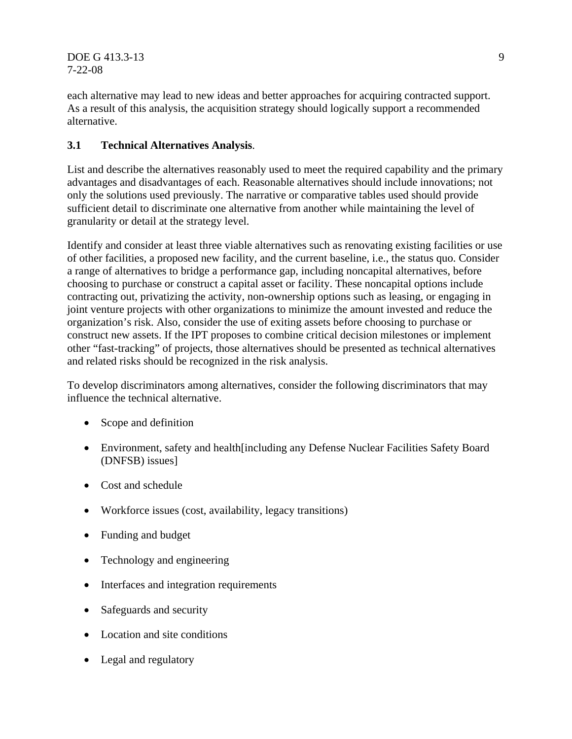DOE G 413.3-13 9 7-22-08

each alternative may lead to new ideas and better approaches for acquiring contracted support. As a result of this analysis, the acquisition strategy should logically support a recommended alternative.

# **3.1 Technical Alternatives Analysis**.

List and describe the alternatives reasonably used to meet the required capability and the primary advantages and disadvantages of each. Reasonable alternatives should include innovations; not only the solutions used previously. The narrative or comparative tables used should provide sufficient detail to discriminate one alternative from another while maintaining the level of granularity or detail at the strategy level.

Identify and consider at least three viable alternatives such as renovating existing facilities or use of other facilities, a proposed new facility, and the current baseline, i.e., the status quo. Consider a range of alternatives to bridge a performance gap, including noncapital alternatives, before choosing to purchase or construct a capital asset or facility. These noncapital options include contracting out, privatizing the activity, non-ownership options such as leasing, or engaging in joint venture projects with other organizations to minimize the amount invested and reduce the organization's risk. Also, consider the use of exiting assets before choosing to purchase or construct new assets. If the IPT proposes to combine critical decision milestones or implement other "fast-tracking" of projects, those alternatives should be presented as technical alternatives and related risks should be recognized in the risk analysis.

To develop discriminators among alternatives, consider the following discriminators that may influence the technical alternative.

- Scope and definition
- Environment, safety and health [including any Defense Nuclear Facilities Safety Board (DNFSB) issues]
- Cost and schedule
- Workforce issues (cost, availability, legacy transitions)
- Funding and budget
- Technology and engineering
- Interfaces and integration requirements
- Safeguards and security
- Location and site conditions
- Legal and regulatory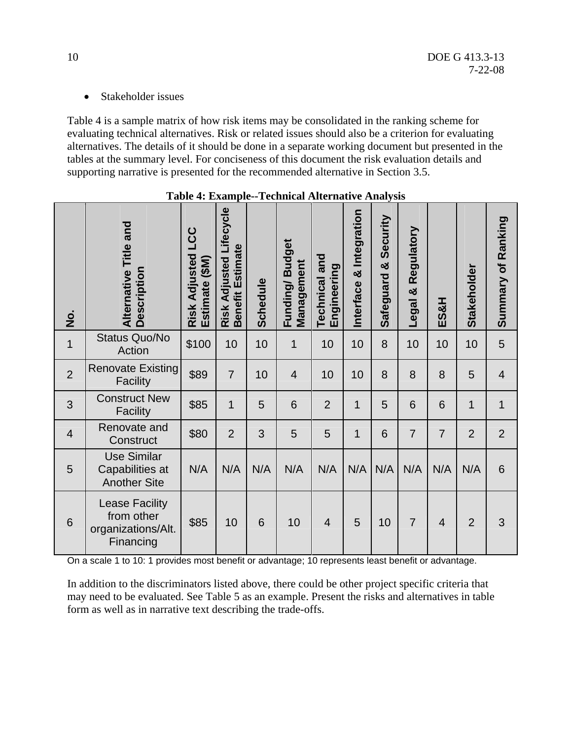• Stakeholder issues

Table 4 is a sample matrix of how risk items may be consolidated in the ranking scheme for evaluating technical alternatives. Risk or related issues should also be a criterion for evaluating alternatives. The details of it should be done in a separate working document but presented in the tables at the summary level. For conciseness of this document the risk evaluation details and supporting narrative is presented for the recommended alternative in Section 3.5.

| $\frac{1}{2}$  | Alternative Title and<br>Description                                   | LCC<br><b>Risk Adjusted</b><br>Estimate (\$M) | Lifecycle<br>Benefit Estimate<br><b>Risk Adjusted</b> | <b>Schedule</b> | Funding/Budget<br>Management | <b>Technical and</b><br>Engineering | Integration<br>න්<br>Interface | Security<br>×<br>Safeguard | Regulatory<br>Legal & | ES&H           | Stakeholder    | Summary of Ranking |
|----------------|------------------------------------------------------------------------|-----------------------------------------------|-------------------------------------------------------|-----------------|------------------------------|-------------------------------------|--------------------------------|----------------------------|-----------------------|----------------|----------------|--------------------|
| $\mathbf 1$    | <b>Status Quo/No</b><br>Action                                         | \$100                                         | 10                                                    | 10              | $\mathbf 1$                  | 10                                  | 10                             | 8                          | 10                    | 10             | 10             | 5                  |
| $\overline{2}$ | <b>Renovate Existing</b><br><b>Facility</b>                            | \$89                                          | $\overline{7}$                                        | 10              | $\overline{4}$               | 10                                  | 10                             | 8                          | 8                     | 8              | 5              | $\overline{4}$     |
| 3              | <b>Construct New</b><br>Facility                                       | \$85                                          | $\mathbf 1$                                           | 5               | 6                            | $\overline{2}$                      | $\mathbf 1$                    | 5                          | 6                     | 6              | $\mathbf 1$    | 1                  |
| $\overline{4}$ | Renovate and<br>Construct                                              | \$80                                          | $\overline{2}$                                        | 3               | 5                            | 5                                   | 1                              | 6                          | $\overline{7}$        | $\overline{7}$ | $\overline{2}$ | $\overline{2}$     |
| 5              | <b>Use Similar</b><br>Capabilities at<br><b>Another Site</b>           | N/A                                           | N/A                                                   | N/A             | N/A                          | N/A                                 | N/A                            | N/A                        | N/A                   | N/A            | N/A            | 6                  |
| 6              | <b>Lease Facility</b><br>from other<br>organizations/Alt.<br>Financing | \$85                                          | 10                                                    | 6               | 10                           | $\overline{4}$                      | 5                              | 10                         | $\overline{7}$        | $\overline{4}$ | $\overline{2}$ | 3                  |

|  | Table 4: Example--Technical Alternative Analysis |
|--|--------------------------------------------------|
|--|--------------------------------------------------|

On a scale 1 to 10: 1 provides most benefit or advantage; 10 represents least benefit or advantage.

In addition to the discriminators listed above, there could be other project specific criteria that may need to be evaluated. See Table 5 as an example. Present the risks and alternatives in table form as well as in narrative text describing the trade-offs.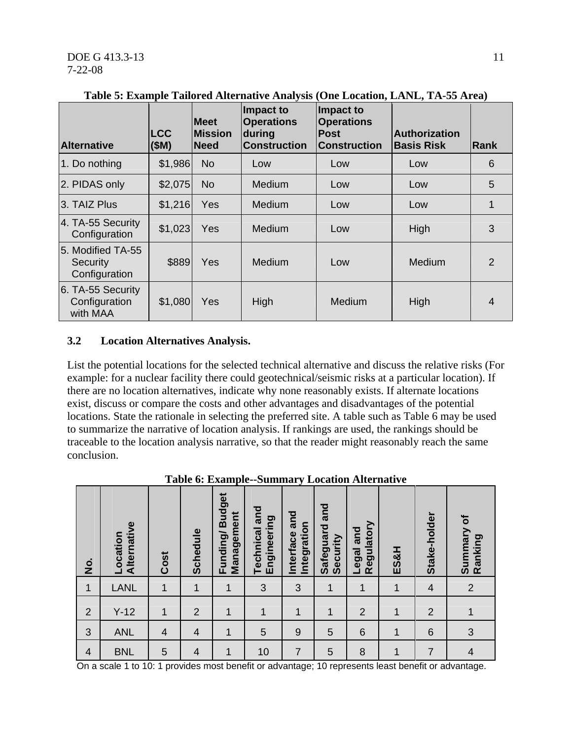| <b>Alternative</b>                             | <b>LCC</b><br>(SM) | <b>Meet</b><br><b>Mission</b><br><b>Need</b> | Impact to<br><b>Operations</b><br>during<br><b>Construction</b> | Impact to<br><b>Operations</b><br><b>Post</b><br><b>Construction</b> | <b>Authorization</b><br><b>Basis Risk</b> | <b>Rank</b>    |
|------------------------------------------------|--------------------|----------------------------------------------|-----------------------------------------------------------------|----------------------------------------------------------------------|-------------------------------------------|----------------|
| 1. Do nothing                                  | \$1,986            | <b>No</b>                                    | Low                                                             | Low                                                                  | Low                                       | 6              |
| 2. PIDAS only                                  | \$2,075            | <b>No</b>                                    | Medium                                                          | Low                                                                  | Low                                       | 5              |
| 3. TAIZ Plus                                   | \$1,216            | <b>Yes</b>                                   | Medium                                                          | Low                                                                  | Low                                       |                |
| 4. TA-55 Security<br>Configuration             | \$1,023            | <b>Yes</b>                                   | Medium                                                          | Low                                                                  | High                                      | 3              |
| 5. Modified TA-55<br>Security<br>Configuration | \$889              | Yes                                          | Medium                                                          | Low                                                                  | <b>Medium</b>                             | $\overline{2}$ |
| 6. TA-55 Security<br>Configuration<br>with MAA | \$1,080            | Yes                                          | High                                                            | Medium                                                               | High                                      | 4              |

**Table 5: Example Tailored Alternative Analysis (One Location, LANL, TA-55 Area)** 

# **3.2 Location Alternatives Analysis.**

List the potential locations for the selected technical alternative and discuss the relative risks (For example: for a nuclear facility there could geotechnical/seismic risks at a particular location). If there are no location alternatives, indicate why none reasonably exists. If alternate locations exist, discuss or compare the costs and other advantages and disadvantages of the potential locations. State the rationale in selecting the preferred site. A table such as Table 6 may be used to summarize the narrative of location analysis. If rankings are used, the rankings should be traceable to the location analysis narrative, so that the reader might reasonably reach the same conclusion.

| $\dot{\mathsf{z}}$       | Alternative<br>Location | Cost           | Schedule       | Funding/Budget<br>Management | Technical and<br>Engineering | and<br>Integration<br>Interface | Safeguard and<br>Security | Regulatory<br>Legal and | <b>ES&amp;H</b> | Stake-holder   | Summary of<br>Ranking |
|--------------------------|-------------------------|----------------|----------------|------------------------------|------------------------------|---------------------------------|---------------------------|-------------------------|-----------------|----------------|-----------------------|
| $\mathbf{1}$             | <b>LANL</b>             | $\overline{1}$ | $\mathbf{1}$   | 1                            | 3                            | 3                               | $\mathbf{1}$              | 1                       | 1               | $\overline{4}$ | $\overline{2}$        |
| $\overline{2}$           | $Y-12$                  | $\mathbf{1}$   | $\overline{2}$ | $\mathbf 1$                  | $\mathbf{1}$                 | 1                               | 1                         | $\overline{2}$          | $\mathbf 1$     | $\overline{2}$ |                       |
| 3                        | <b>ANL</b>              | $\overline{4}$ | $\overline{4}$ | $\mathbf{1}$                 | 5                            | $\overline{9}$                  | 5                         | 6                       | $\mathbf{1}$    | 6              | 3                     |
| $\overline{\mathcal{A}}$ | <b>BNL</b>              | 5              | $\overline{4}$ | $\mathbf 1$                  | 10                           | $\overline{7}$                  | 5                         | 8                       | 1               | $\overline{7}$ | $\overline{4}$        |

**Table 6: Example--Summary Location Alternative** 

On a scale 1 to 10: 1 provides most benefit or advantage; 10 represents least benefit or advantage.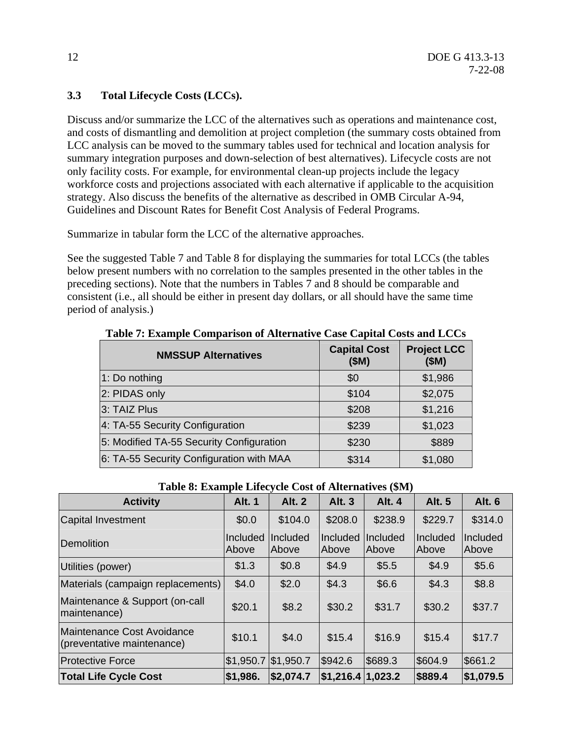# **3.3 Total Lifecycle Costs (LCCs).**

Discuss and/or summarize the LCC of the alternatives such as operations and maintenance cost, and costs of dismantling and demolition at project completion (the summary costs obtained from LCC analysis can be moved to the summary tables used for technical and location analysis for summary integration purposes and down-selection of best alternatives). Lifecycle costs are not only facility costs. For example, for environmental clean-up projects include the legacy workforce costs and projections associated with each alternative if applicable to the acquisition strategy. Also discuss the benefits of the alternative as described in OMB Circular A-94, Guidelines and Discount Rates for Benefit Cost Analysis of Federal Programs.

Summarize in tabular form the LCC of the alternative approaches.

See the suggested Table 7 and Table 8 for displaying the summaries for total LCCs (the tables below present numbers with no correlation to the samples presented in the other tables in the preceding sections). Note that the numbers in Tables 7 and 8 should be comparable and consistent (i.e., all should be either in present day dollars, or all should have the same time period of analysis.)

| <b>NMSSUP Alternatives</b>               | <b>Capital Cost</b><br>(SM) | <b>Project LCC</b><br>(SM) |
|------------------------------------------|-----------------------------|----------------------------|
| 1: Do nothing                            | \$0                         | \$1,986                    |
| 2: PIDAS only                            | \$104                       | \$2,075                    |
| 3: TAIZ Plus                             | \$208                       | \$1,216                    |
| 4: TA-55 Security Configuration          | \$239                       | \$1,023                    |
| 5: Modified TA-55 Security Configuration | \$230                       | \$889                      |
| 6: TA-55 Security Configuration with MAA | \$314                       | \$1,080                    |

**Table 7: Example Comparison of Alternative Case Capital Costs and LCCs** 

| Table 8: Example Lifecycle Cost of Alternatives (510)    |                       |                   |                                   |                   |                   |                   |  |  |  |  |
|----------------------------------------------------------|-----------------------|-------------------|-----------------------------------|-------------------|-------------------|-------------------|--|--|--|--|
| <b>Activity</b>                                          | <b>Alt. 1</b>         | <b>Alt. 2</b>     | <b>Alt. 3</b>                     | <b>Alt. 4</b>     | <b>Alt. 5</b>     | <b>Alt. 6</b>     |  |  |  |  |
| Capital Investment                                       | \$0.0                 | \$104.0           | \$208.0                           | \$238.9           | \$229.7           | \$314.0           |  |  |  |  |
| <b>Demolition</b>                                        | Included<br>Above     | Included<br>Above | Included<br>Above                 | Included<br>Above | Included<br>Above | Included<br>Above |  |  |  |  |
| Utilities (power)                                        | \$1.3                 | \$0.8             | \$4.9                             | \$5.5             | \$4.9             | \$5.6             |  |  |  |  |
| Materials (campaign replacements)                        | \$4.0                 | \$2.0             | \$4.3                             | \$6.6             | \$4.3             | \$8.8             |  |  |  |  |
| Maintenance & Support (on-call<br>maintenance)           | \$20.1                | \$8.2             | \$30.2                            | \$31.7            | \$30.2            | \$37.7            |  |  |  |  |
| Maintenance Cost Avoidance<br>(preventative maintenance) | \$10.1                | \$4.0             | \$15.4                            | \$16.9            | \$15.4            | \$17.7            |  |  |  |  |
| <b>Protective Force</b>                                  | $$1,950.7$ $$1,950.7$ |                   | \$942.6                           | \$689.3           | \$604.9           | \$661.2           |  |  |  |  |
| <b>Total Life Cycle Cost</b>                             | \$1,986.              | \$2,074.7         | $\vert$ \$1,216.4 $\vert$ 1,023.2 |                   | \$889.4           | \$1,079.5         |  |  |  |  |

# **Table 8: Example Lifecycle Cost of Alternatives (\$M)**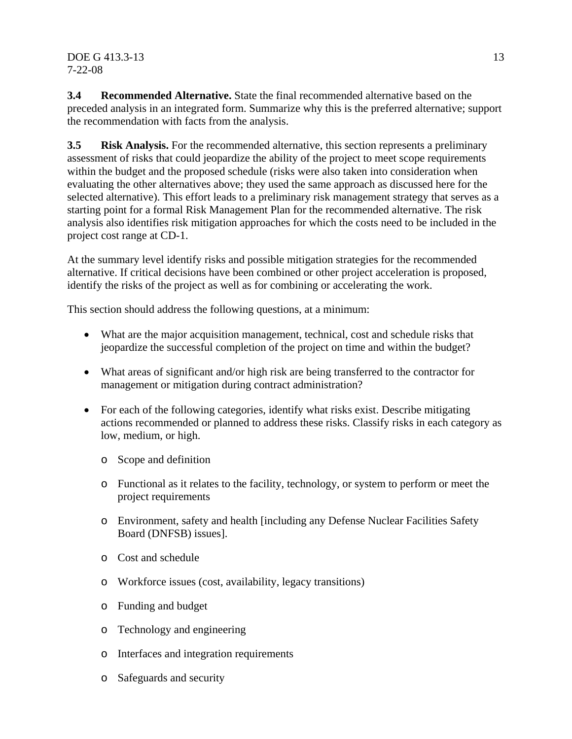# $\overline{DOE}$  G 413.3-13 13 7-22-08

**3.4 Recommended Alternative.** State the final recommended alternative based on the preceded analysis in an integrated form. Summarize why this is the preferred alternative; support the recommendation with facts from the analysis.

**3.5 Risk Analysis.** For the recommended alternative, this section represents a preliminary assessment of risks that could jeopardize the ability of the project to meet scope requirements within the budget and the proposed schedule (risks were also taken into consideration when evaluating the other alternatives above; they used the same approach as discussed here for the selected alternative). This effort leads to a preliminary risk management strategy that serves as a starting point for a formal Risk Management Plan for the recommended alternative. The risk analysis also identifies risk mitigation approaches for which the costs need to be included in the project cost range at CD-1.

At the summary level identify risks and possible mitigation strategies for the recommended alternative. If critical decisions have been combined or other project acceleration is proposed, identify the risks of the project as well as for combining or accelerating the work.

This section should address the following questions, at a minimum:

- What are the major acquisition management, technical, cost and schedule risks that jeopardize the successful completion of the project on time and within the budget?
- What areas of significant and/or high risk are being transferred to the contractor for management or mitigation during contract administration?
- For each of the following categories, identify what risks exist. Describe mitigating actions recommended or planned to address these risks. Classify risks in each category as low, medium, or high.
	- o Scope and definition
	- o Functional as it relates to the facility, technology, or system to perform or meet the project requirements
	- o Environment, safety and health [including any Defense Nuclear Facilities Safety Board (DNFSB) issues].
	- o Cost and schedule
	- o Workforce issues (cost, availability, legacy transitions)
	- o Funding and budget
	- o Technology and engineering
	- o Interfaces and integration requirements
	- o Safeguards and security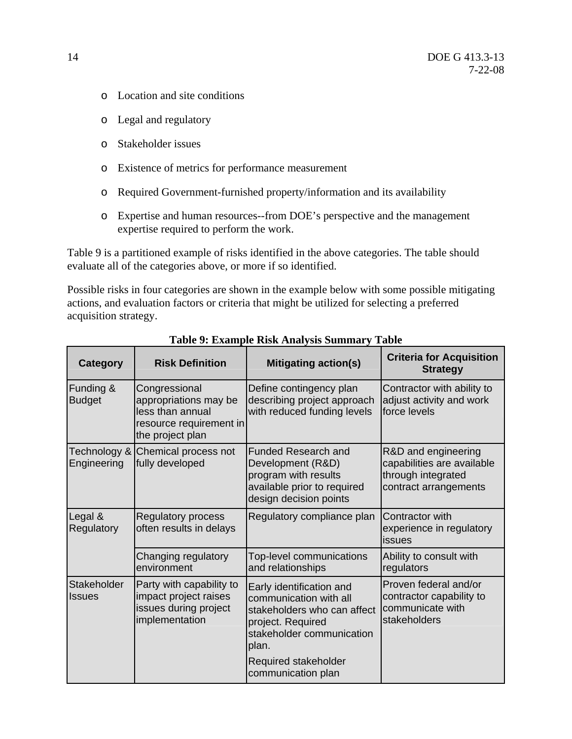- o Location and site conditions
- o Legal and regulatory
- o Stakeholder issues
- o Existence of metrics for performance measurement
- o Required Government-furnished property/information and its availability
- o Expertise and human resources--from DOE's perspective and the management expertise required to perform the work.

Table 9 is a partitioned example of risks identified in the above categories. The table should evaluate all of the categories above, or more if so identified.

Possible risks in four categories are shown in the example below with some possible mitigating actions, and evaluation factors or criteria that might be utilized for selecting a preferred acquisition strategy.

| <b>Category</b>               | <b>Risk Definition</b>                                                                                    | <b>Mitigating action(s)</b>                                                                                                                                                                | <b>Criteria for Acquisition</b><br><b>Strategy</b>                                               |
|-------------------------------|-----------------------------------------------------------------------------------------------------------|--------------------------------------------------------------------------------------------------------------------------------------------------------------------------------------------|--------------------------------------------------------------------------------------------------|
| Funding &<br><b>Budget</b>    | Congressional<br>appropriations may be<br>less than annual<br>resource requirement in<br>the project plan | Define contingency plan<br>describing project approach<br>with reduced funding levels                                                                                                      | Contractor with ability to<br>adjust activity and work<br>force levels                           |
| Technology &  <br>Engineering | Chemical process not<br>fully developed                                                                   | <b>Funded Research and</b><br>Development (R&D)<br>program with results<br>available prior to required<br>design decision points                                                           | R&D and engineering<br>capabilities are available<br>through integrated<br>contract arrangements |
| Legal &<br>Regulatory         | <b>Regulatory process</b><br>often results in delays                                                      | Regulatory compliance plan                                                                                                                                                                 |                                                                                                  |
|                               | Changing regulatory<br>environment                                                                        | Top-level communications<br>and relationships                                                                                                                                              | Ability to consult with<br>regulators                                                            |
| Stakeholder<br><b>Issues</b>  | Party with capability to<br>impact project raises<br>issues during project<br>implementation              | Early identification and<br>communication with all<br>stakeholders who can affect<br>project. Required<br>stakeholder communication<br>plan.<br>Required stakeholder<br>communication plan | Proven federal and/or<br>contractor capability to<br>communicate with<br>stakeholders            |

**Table 9: Example Risk Analysis Summary Table**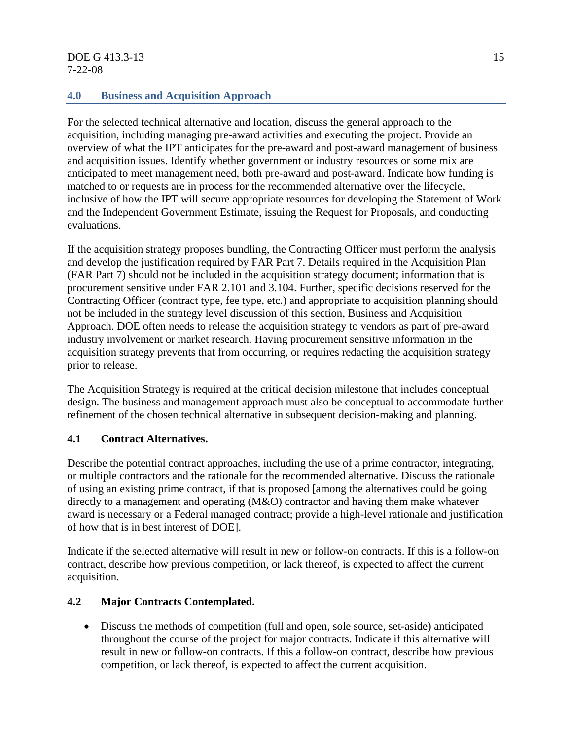# DOE G 413.3-13 15 7-22-08

# **4.0 Business and Acquisition Approach**

For the selected technical alternative and location, discuss the general approach to the acquisition, including managing pre-award activities and executing the project. Provide an overview of what the IPT anticipates for the pre-award and post-award management of business and acquisition issues. Identify whether government or industry resources or some mix are anticipated to meet management need, both pre-award and post-award. Indicate how funding is matched to or requests are in process for the recommended alternative over the lifecycle, inclusive of how the IPT will secure appropriate resources for developing the Statement of Work and the Independent Government Estimate, issuing the Request for Proposals, and conducting evaluations.

If the acquisition strategy proposes bundling, the Contracting Officer must perform the analysis and develop the justification required by FAR Part 7. Details required in the Acquisition Plan (FAR Part 7) should not be included in the acquisition strategy document; information that is procurement sensitive under FAR 2.101 and 3.104. Further, specific decisions reserved for the Contracting Officer (contract type, fee type, etc.) and appropriate to acquisition planning should not be included in the strategy level discussion of this section, Business and Acquisition Approach. DOE often needs to release the acquisition strategy to vendors as part of pre-award industry involvement or market research. Having procurement sensitive information in the acquisition strategy prevents that from occurring, or requires redacting the acquisition strategy prior to release.

The Acquisition Strategy is required at the critical decision milestone that includes conceptual design. The business and management approach must also be conceptual to accommodate further refinement of the chosen technical alternative in subsequent decision-making and planning.

# **4.1 Contract Alternatives.**

Describe the potential contract approaches, including the use of a prime contractor, integrating, or multiple contractors and the rationale for the recommended alternative. Discuss the rationale of using an existing prime contract, if that is proposed [among the alternatives could be going directly to a management and operating (M&O) contractor and having them make whatever award is necessary or a Federal managed contract; provide a high-level rationale and justification of how that is in best interest of DOE].

Indicate if the selected alternative will result in new or follow-on contracts. If this is a follow-on contract, describe how previous competition, or lack thereof, is expected to affect the current acquisition.

# **4.2 Major Contracts Contemplated.**

• Discuss the methods of competition (full and open, sole source, set-aside) anticipated throughout the course of the project for major contracts. Indicate if this alternative will result in new or follow-on contracts. If this a follow-on contract, describe how previous competition, or lack thereof, is expected to affect the current acquisition.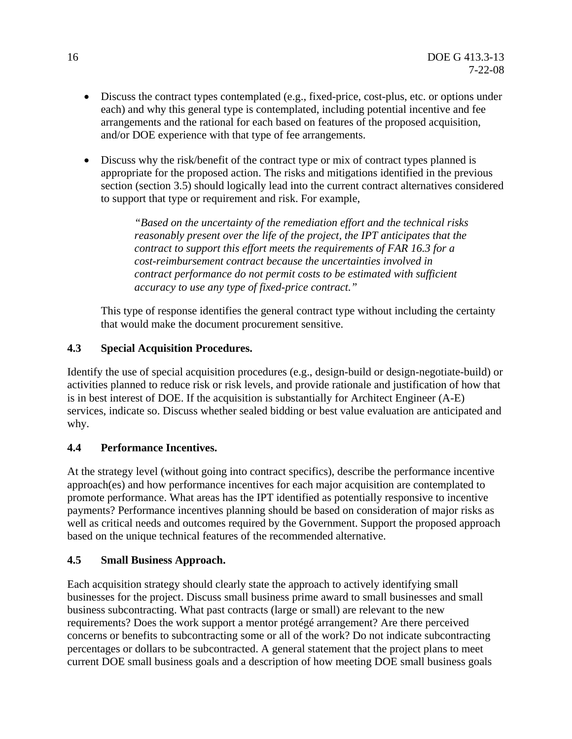- Discuss the contract types contemplated (e.g., fixed-price, cost-plus, etc. or options under each) and why this general type is contemplated, including potential incentive and fee arrangements and the rational for each based on features of the proposed acquisition, and/or DOE experience with that type of fee arrangements.
- Discuss why the risk/benefit of the contract type or mix of contract types planned is appropriate for the proposed action. The risks and mitigations identified in the previous section (section 3.5) should logically lead into the current contract alternatives considered to support that type or requirement and risk. For example,

*"Based on the uncertainty of the remediation effort and the technical risks reasonably present over the life of the project, the IPT anticipates that the contract to support this effort meets the requirements of FAR 16.3 for a cost-reimbursement contract because the uncertainties involved in contract performance do not permit costs to be estimated with sufficient accuracy to use any type of fixed-price contract."* 

This type of response identifies the general contract type without including the certainty that would make the document procurement sensitive.

# **4.3 Special Acquisition Procedures.**

Identify the use of special acquisition procedures (e.g., design-build or design-negotiate-build) or activities planned to reduce risk or risk levels, and provide rationale and justification of how that is in best interest of DOE. If the acquisition is substantially for Architect Engineer (A-E) services, indicate so. Discuss whether sealed bidding or best value evaluation are anticipated and why.

# **4.4 Performance Incentives.**

At the strategy level (without going into contract specifics), describe the performance incentive approach(es) and how performance incentives for each major acquisition are contemplated to promote performance. What areas has the IPT identified as potentially responsive to incentive payments? Performance incentives planning should be based on consideration of major risks as well as critical needs and outcomes required by the Government. Support the proposed approach based on the unique technical features of the recommended alternative.

# **4.5 Small Business Approach.**

Each acquisition strategy should clearly state the approach to actively identifying small businesses for the project. Discuss small business prime award to small businesses and small business subcontracting. What past contracts (large or small) are relevant to the new requirements? Does the work support a mentor protégé arrangement? Are there perceived concerns or benefits to subcontracting some or all of the work? Do not indicate subcontracting percentages or dollars to be subcontracted. A general statement that the project plans to meet current DOE small business goals and a description of how meeting DOE small business goals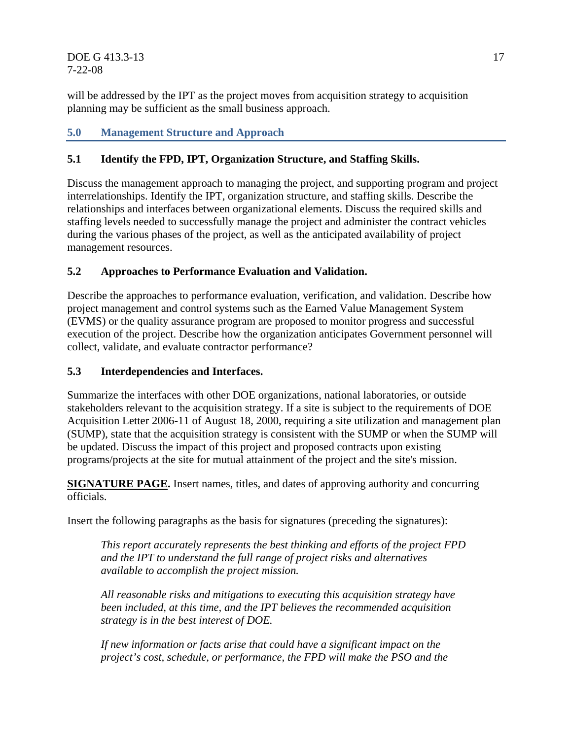**DOE G 413.3-13** 17 7-22-08

will be addressed by the IPT as the project moves from acquisition strategy to acquisition planning may be sufficient as the small business approach.

# **5.0 Management Structure and Approach**

# **5.1 Identify the FPD, IPT, Organization Structure, and Staffing Skills.**

Discuss the management approach to managing the project, and supporting program and project interrelationships. Identify the IPT, organization structure, and staffing skills. Describe the relationships and interfaces between organizational elements. Discuss the required skills and staffing levels needed to successfully manage the project and administer the contract vehicles during the various phases of the project, as well as the anticipated availability of project management resources.

# **5.2 Approaches to Performance Evaluation and Validation.**

Describe the approaches to performance evaluation, verification, and validation. Describe how project management and control systems such as the Earned Value Management System (EVMS) or the quality assurance program are proposed to monitor progress and successful execution of the project. Describe how the organization anticipates Government personnel will collect, validate, and evaluate contractor performance?

# **5.3 Interdependencies and Interfaces.**

Summarize the interfaces with other DOE organizations, national laboratories, or outside stakeholders relevant to the acquisition strategy. If a site is subject to the requirements of DOE Acquisition Letter 2006-11 of August 18, 2000, requiring a site utilization and management plan (SUMP), state that the acquisition strategy is consistent with the SUMP or when the SUMP will be updated. Discuss the impact of this project and proposed contracts upon existing programs/projects at the site for mutual attainment of the project and the site's mission.

**SIGNATURE PAGE.** Insert names, titles, and dates of approving authority and concurring officials.

Insert the following paragraphs as the basis for signatures (preceding the signatures):

*This report accurately represents the best thinking and efforts of the project FPD and the IPT to understand the full range of project risks and alternatives available to accomplish the project mission.* 

*All reasonable risks and mitigations to executing this acquisition strategy have been included, at this time, and the IPT believes the recommended acquisition strategy is in the best interest of DOE.* 

*If new information or facts arise that could have a significant impact on the project's cost, schedule, or performance, the FPD will make the PSO and the*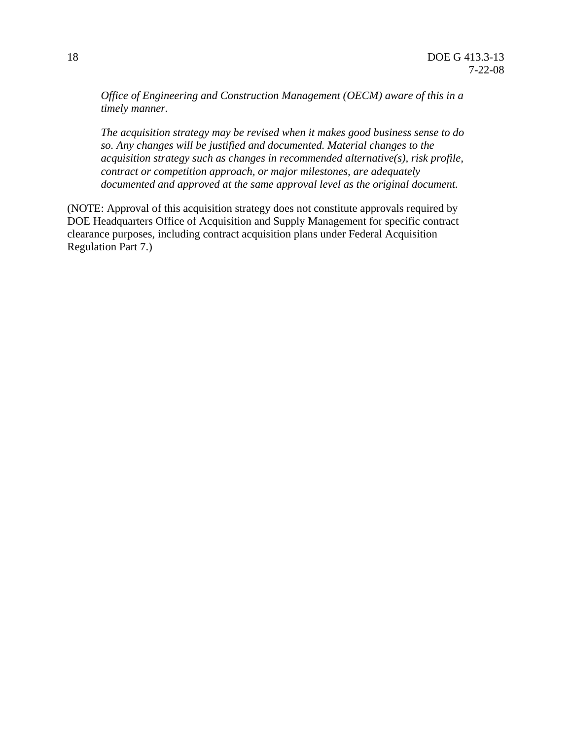*Office of Engineering and Construction Management (OECM) aware of this in a timely manner.* 

*The acquisition strategy may be revised when it makes good business sense to do so. Any changes will be justified and documented. Material changes to the acquisition strategy such as changes in recommended alternative(s), risk profile, contract or competition approach, or major milestones, are adequately documented and approved at the same approval level as the original document.* 

(NOTE: Approval of this acquisition strategy does not constitute approvals required by DOE Headquarters Office of Acquisition and Supply Management for specific contract clearance purposes, including contract acquisition plans under Federal Acquisition Regulation Part 7.)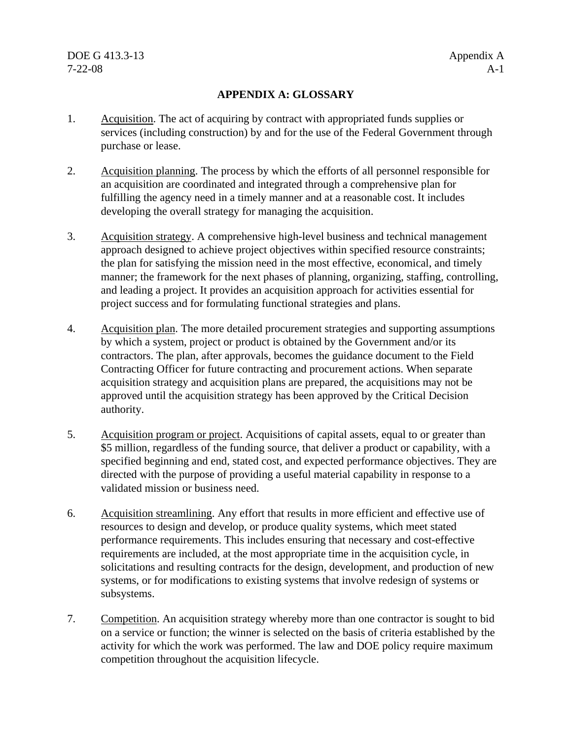# **APPENDIX A: GLOSSARY**

- 1. Acquisition. The act of acquiring by contract with appropriated funds supplies or services (including construction) by and for the use of the Federal Government through purchase or lease.
- 2. Acquisition planning. The process by which the efforts of all personnel responsible for an acquisition are coordinated and integrated through a comprehensive plan for fulfilling the agency need in a timely manner and at a reasonable cost. It includes developing the overall strategy for managing the acquisition.
- 3. Acquisition strategy. A comprehensive high-level business and technical management approach designed to achieve project objectives within specified resource constraints; the plan for satisfying the mission need in the most effective, economical, and timely manner; the framework for the next phases of planning, organizing, staffing, controlling, and leading a project. It provides an acquisition approach for activities essential for project success and for formulating functional strategies and plans.
- 4. Acquisition plan. The more detailed procurement strategies and supporting assumptions by which a system, project or product is obtained by the Government and/or its contractors. The plan, after approvals, becomes the guidance document to the Field Contracting Officer for future contracting and procurement actions. When separate acquisition strategy and acquisition plans are prepared, the acquisitions may not be approved until the acquisition strategy has been approved by the Critical Decision authority.
- 5. Acquisition program or project. Acquisitions of capital assets, equal to or greater than \$5 million, regardless of the funding source, that deliver a product or capability, with a specified beginning and end, stated cost, and expected performance objectives. They are directed with the purpose of providing a useful material capability in response to a validated mission or business need.
- 6. Acquisition streamlining. Any effort that results in more efficient and effective use of resources to design and develop, or produce quality systems, which meet stated performance requirements. This includes ensuring that necessary and cost-effective requirements are included, at the most appropriate time in the acquisition cycle, in solicitations and resulting contracts for the design, development, and production of new systems, or for modifications to existing systems that involve redesign of systems or subsystems.
- 7. Competition. An acquisition strategy whereby more than one contractor is sought to bid on a service or function; the winner is selected on the basis of criteria established by the activity for which the work was performed. The law and DOE policy require maximum competition throughout the acquisition lifecycle.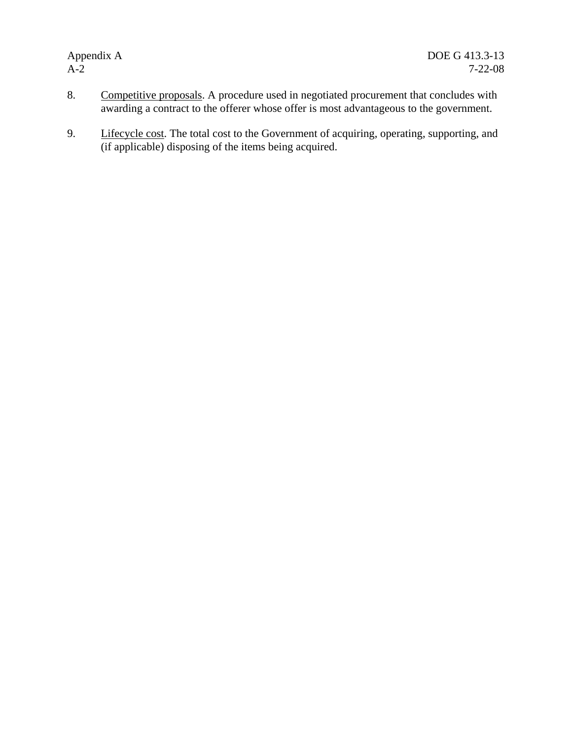- 8. Competitive proposals. A procedure used in negotiated procurement that concludes with awarding a contract to the offerer whose offer is most advantageous to the government.
- 9. Lifecycle cost. The total cost to the Government of acquiring, operating, supporting, and (if applicable) disposing of the items being acquired.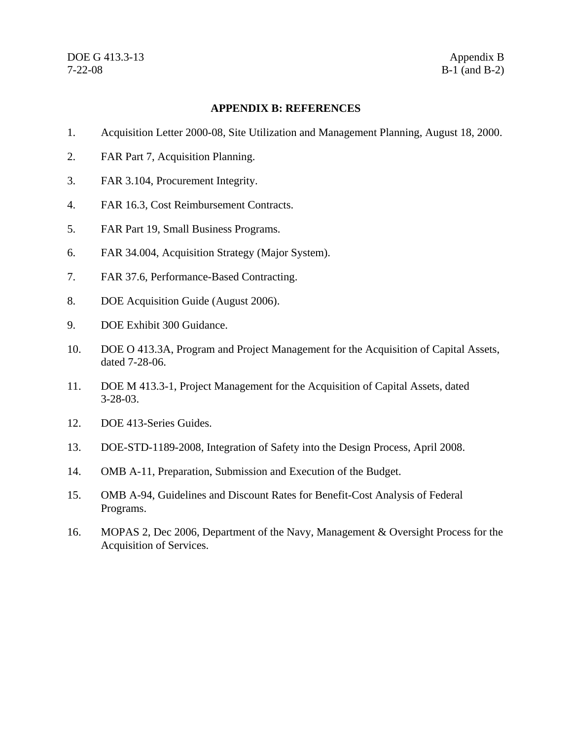# **APPENDIX B: REFERENCES**

- 1. Acquisition Letter 2000-08, Site Utilization and Management Planning, August 18, 2000.
- 2. FAR Part 7, Acquisition Planning.
- 3. FAR 3.104, Procurement Integrity.
- 4. FAR 16.3, Cost Reimbursement Contracts.
- 5. FAR Part 19, Small Business Programs.
- 6. FAR 34.004, Acquisition Strategy (Major System).
- 7. FAR 37.6, Performance-Based Contracting.
- 8. DOE Acquisition Guide (August 2006).
- 9. DOE Exhibit 300 Guidance.
- 10. DOE O 413.3A, Program and Project Management for the Acquisition of Capital Assets, dated 7-28-06.
- 11. DOE M 413.3-1, Project Management for the Acquisition of Capital Assets, dated 3-28-03.
- 12. DOE 413-Series Guides.
- 13. DOE-STD-1189-2008, Integration of Safety into the Design Process, April 2008.
- 14. OMB A-11, Preparation, Submission and Execution of the Budget.
- 15. OMB A-94, Guidelines and Discount Rates for Benefit-Cost Analysis of Federal Programs.
- 16. MOPAS 2, Dec 2006, Department of the Navy, Management & Oversight Process for the Acquisition of Services.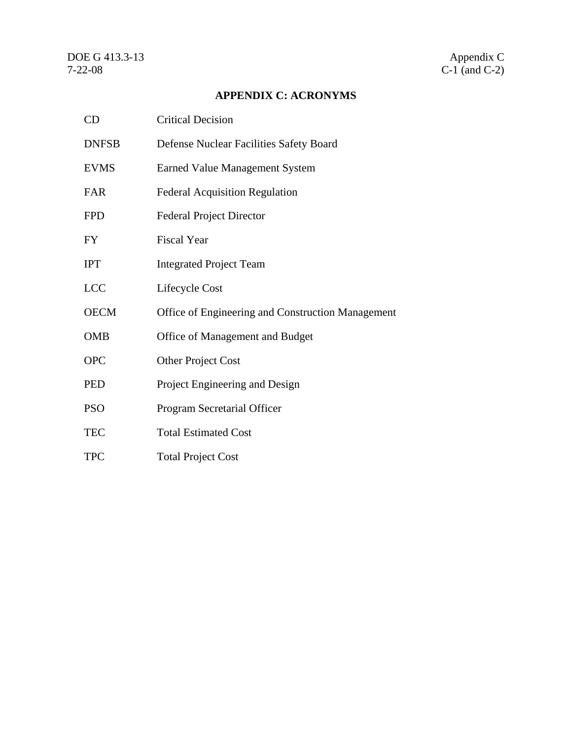# **APPENDIX C: ACRONYMS**

| CD           | <b>Critical Decision</b>                          |
|--------------|---------------------------------------------------|
| <b>DNFSB</b> | Defense Nuclear Facilities Safety Board           |
| <b>EVMS</b>  | <b>Earned Value Management System</b>             |
| <b>FAR</b>   | <b>Federal Acquisition Regulation</b>             |
| <b>FPD</b>   | <b>Federal Project Director</b>                   |
| <b>FY</b>    | <b>Fiscal Year</b>                                |
| <b>IPT</b>   | <b>Integrated Project Team</b>                    |
| <b>LCC</b>   | Lifecycle Cost                                    |
| <b>OECM</b>  | Office of Engineering and Construction Management |
| <b>OMB</b>   | Office of Management and Budget                   |
| <b>OPC</b>   | Other Project Cost                                |
| <b>PED</b>   | Project Engineering and Design                    |
| <b>PSO</b>   | Program Secretarial Officer                       |
| <b>TEC</b>   | <b>Total Estimated Cost</b>                       |
| <b>TPC</b>   | <b>Total Project Cost</b>                         |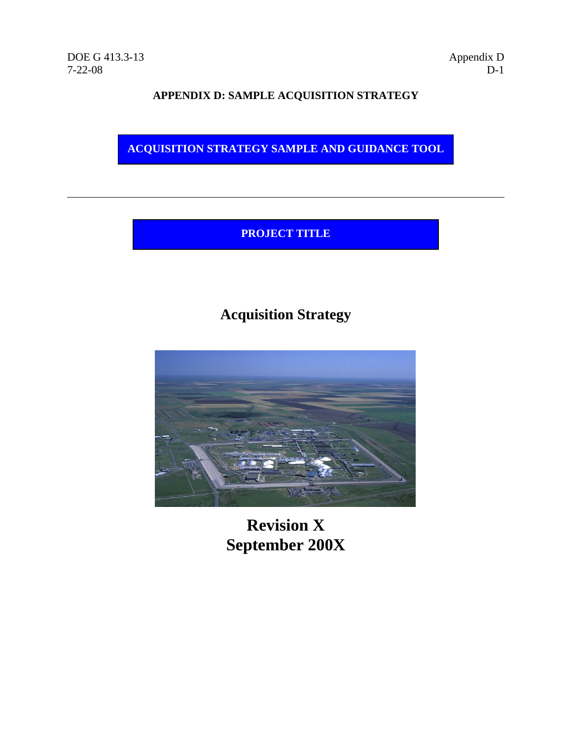# **APPENDIX D: SAMPLE ACQUISITION STRATEGY**

**ACQUISITION STRATEGY SAMPLE AND GUIDANCE TOOL** 

# **PROJECT TITLE**

# **Acquisition Strategy**



**Revision X September 200X**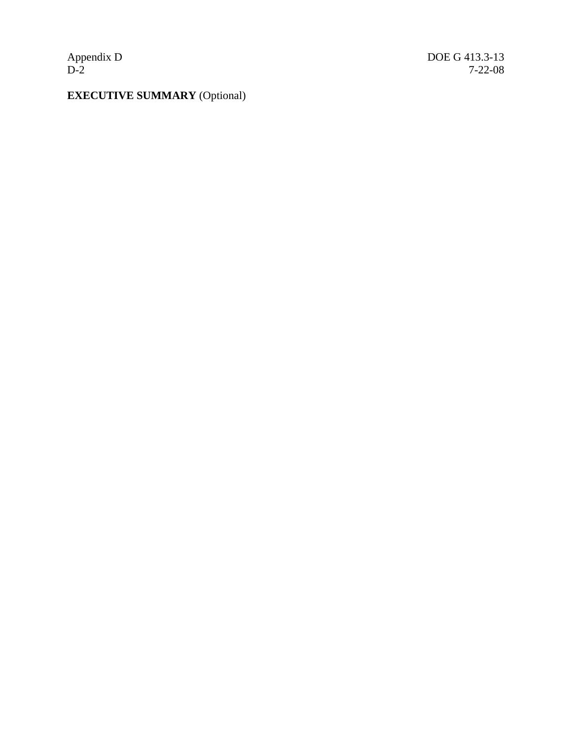Appendix D<br>D-2

# **EXECUTIVE SUMMARY** (Optional)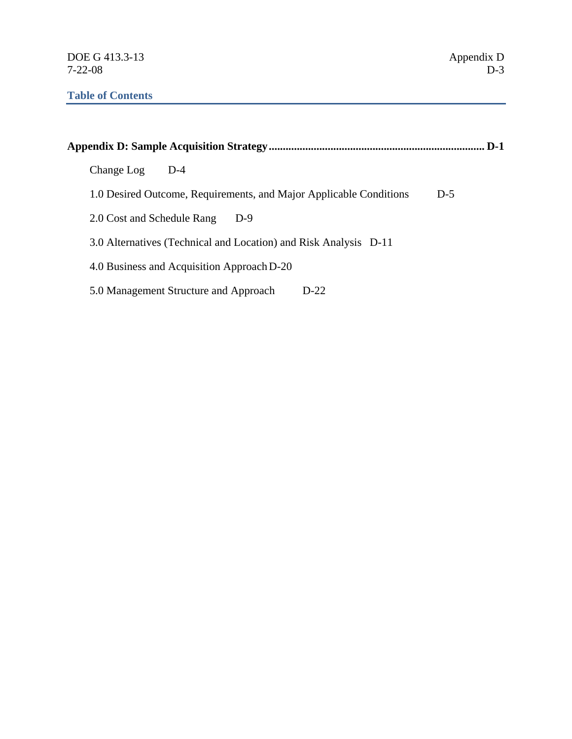|                                                                    | D-1   |
|--------------------------------------------------------------------|-------|
| Change Log<br>$D-4$                                                |       |
| 1.0 Desired Outcome, Requirements, and Major Applicable Conditions | $D-5$ |
| 2.0 Cost and Schedule Rang<br>$D-9$                                |       |
| 3.0 Alternatives (Technical and Location) and Risk Analysis D-11   |       |
| 4.0 Business and Acquisition Approach D-20                         |       |
| 5.0 Management Structure and Approach<br>$D-22.$                   |       |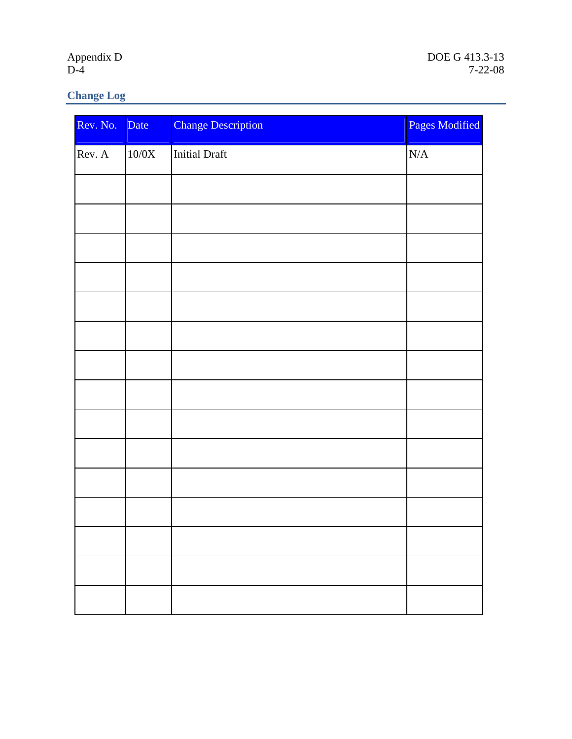Appendix D<br>D-4

# **Change Log**

| Rev. No. | Date              | <b>Change Description</b> | Pages Modified |
|----------|-------------------|---------------------------|----------------|
| Rev. A   | $10\!0\mathrm{X}$ | <b>Initial Draft</b>      | $\rm N/A$      |
|          |                   |                           |                |
|          |                   |                           |                |
|          |                   |                           |                |
|          |                   |                           |                |
|          |                   |                           |                |
|          |                   |                           |                |
|          |                   |                           |                |
|          |                   |                           |                |
|          |                   |                           |                |
|          |                   |                           |                |
|          |                   |                           |                |
|          |                   |                           |                |
|          |                   |                           |                |
|          |                   |                           |                |
|          |                   |                           |                |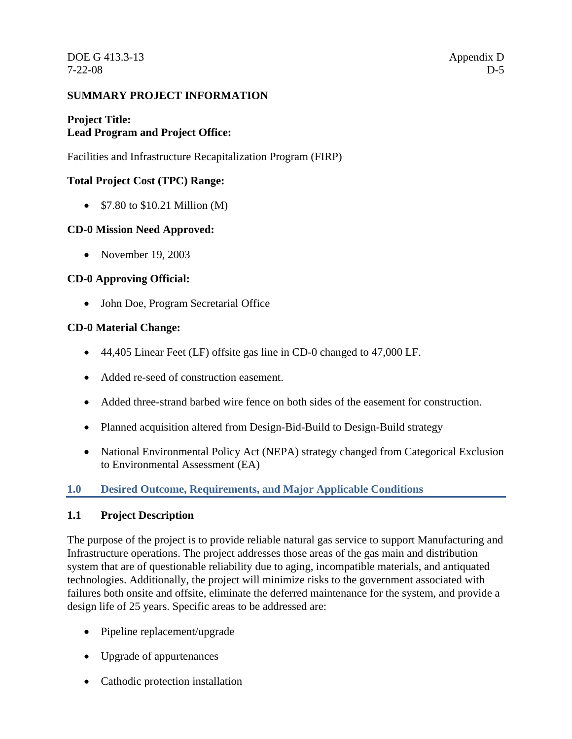# **SUMMARY PROJECT INFORMATION**

# **Project Title: Lead Program and Project Office:**

Facilities and Infrastructure Recapitalization Program (FIRP)

# **Total Project Cost (TPC) Range:**

• \$7.80 to \$10.21 Million (M)

# **CD-0 Mission Need Approved:**

• November 19, 2003

# **CD-0 Approving Official:**

• John Doe, Program Secretarial Office

# **CD-0 Material Change:**

- 44,405 Linear Feet (LF) offsite gas line in CD-0 changed to 47,000 LF.
- Added re-seed of construction easement.
- Added three-strand barbed wire fence on both sides of the easement for construction.
- Planned acquisition altered from Design-Bid-Build to Design-Build strategy
- National Environmental Policy Act (NEPA) strategy changed from Categorical Exclusion to Environmental Assessment (EA)

# **1.0 Desired Outcome, Requirements, and Major Applicable Conditions**

# **1.1 Project Description**

The purpose of the project is to provide reliable natural gas service to support Manufacturing and Infrastructure operations. The project addresses those areas of the gas main and distribution system that are of questionable reliability due to aging, incompatible materials, and antiquated technologies. Additionally, the project will minimize risks to the government associated with failures both onsite and offsite, eliminate the deferred maintenance for the system, and provide a design life of 25 years. Specific areas to be addressed are:

- Pipeline replacement/upgrade
- Upgrade of appurtenances
- Cathodic protection installation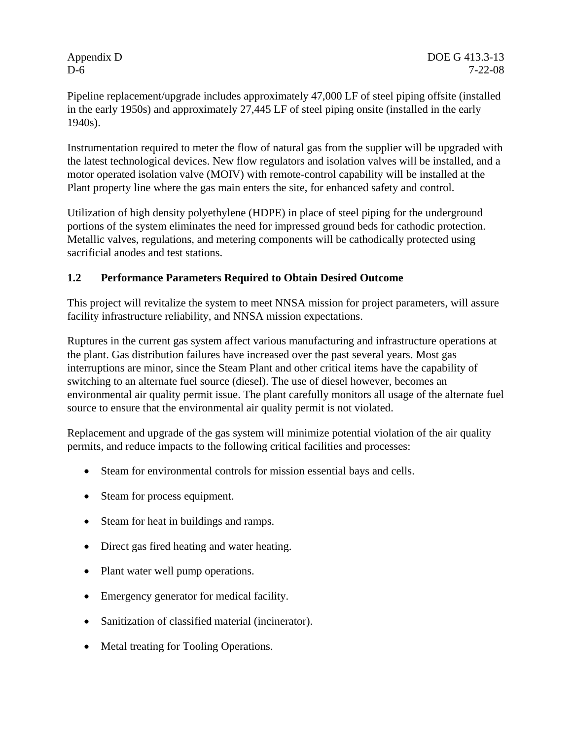Pipeline replacement/upgrade includes approximately 47,000 LF of steel piping offsite (installed in the early 1950s) and approximately 27,445 LF of steel piping onsite (installed in the early 1940s).

Instrumentation required to meter the flow of natural gas from the supplier will be upgraded with the latest technological devices. New flow regulators and isolation valves will be installed, and a motor operated isolation valve (MOIV) with remote-control capability will be installed at the Plant property line where the gas main enters the site, for enhanced safety and control.

Utilization of high density polyethylene (HDPE) in place of steel piping for the underground portions of the system eliminates the need for impressed ground beds for cathodic protection. Metallic valves, regulations, and metering components will be cathodically protected using sacrificial anodes and test stations.

# **1.2 Performance Parameters Required to Obtain Desired Outcome**

This project will revitalize the system to meet NNSA mission for project parameters, will assure facility infrastructure reliability, and NNSA mission expectations.

Ruptures in the current gas system affect various manufacturing and infrastructure operations at the plant. Gas distribution failures have increased over the past several years. Most gas interruptions are minor, since the Steam Plant and other critical items have the capability of switching to an alternate fuel source (diesel). The use of diesel however, becomes an environmental air quality permit issue. The plant carefully monitors all usage of the alternate fuel source to ensure that the environmental air quality permit is not violated.

Replacement and upgrade of the gas system will minimize potential violation of the air quality permits, and reduce impacts to the following critical facilities and processes:

- Steam for environmental controls for mission essential bays and cells.
- Steam for process equipment.
- Steam for heat in buildings and ramps.
- Direct gas fired heating and water heating.
- Plant water well pump operations.
- Emergency generator for medical facility.
- Sanitization of classified material (incinerator).
- Metal treating for Tooling Operations.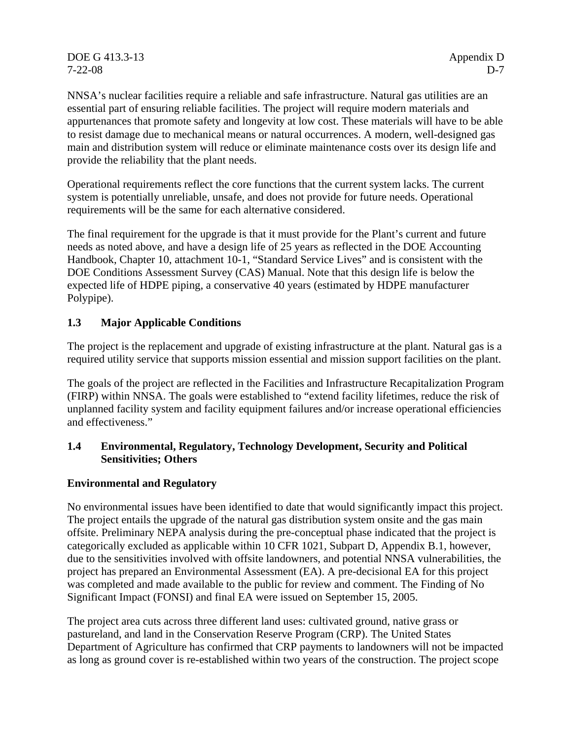DOE G 413.3-13 Appendix D 7-22-08 D-7

NNSA's nuclear facilities require a reliable and safe infrastructure. Natural gas utilities are an essential part of ensuring reliable facilities. The project will require modern materials and appurtenances that promote safety and longevity at low cost. These materials will have to be able to resist damage due to mechanical means or natural occurrences. A modern, well-designed gas main and distribution system will reduce or eliminate maintenance costs over its design life and provide the reliability that the plant needs.

Operational requirements reflect the core functions that the current system lacks. The current system is potentially unreliable, unsafe, and does not provide for future needs. Operational requirements will be the same for each alternative considered.

The final requirement for the upgrade is that it must provide for the Plant's current and future needs as noted above, and have a design life of 25 years as reflected in the DOE Accounting Handbook, Chapter 10, attachment 10-1, "Standard Service Lives" and is consistent with the DOE Conditions Assessment Survey (CAS) Manual. Note that this design life is below the expected life of HDPE piping, a conservative 40 years (estimated by HDPE manufacturer Polypipe).

# **1.3 Major Applicable Conditions**

The project is the replacement and upgrade of existing infrastructure at the plant. Natural gas is a required utility service that supports mission essential and mission support facilities on the plant.

The goals of the project are reflected in the Facilities and Infrastructure Recapitalization Program (FIRP) within NNSA. The goals were established to "extend facility lifetimes, reduce the risk of unplanned facility system and facility equipment failures and/or increase operational efficiencies and effectiveness."

# **1.4 Environmental, Regulatory, Technology Development, Security and Political Sensitivities; Others**

# **Environmental and Regulatory**

No environmental issues have been identified to date that would significantly impact this project. The project entails the upgrade of the natural gas distribution system onsite and the gas main offsite. Preliminary NEPA analysis during the pre-conceptual phase indicated that the project is categorically excluded as applicable within 10 CFR 1021, Subpart D, Appendix B.1, however, due to the sensitivities involved with offsite landowners, and potential NNSA vulnerabilities, the project has prepared an Environmental Assessment (EA). A pre-decisional EA for this project was completed and made available to the public for review and comment. The Finding of No Significant Impact (FONSI) and final EA were issued on September 15, 2005.

The project area cuts across three different land uses: cultivated ground, native grass or pastureland, and land in the Conservation Reserve Program (CRP). The United States Department of Agriculture has confirmed that CRP payments to landowners will not be impacted as long as ground cover is re-established within two years of the construction. The project scope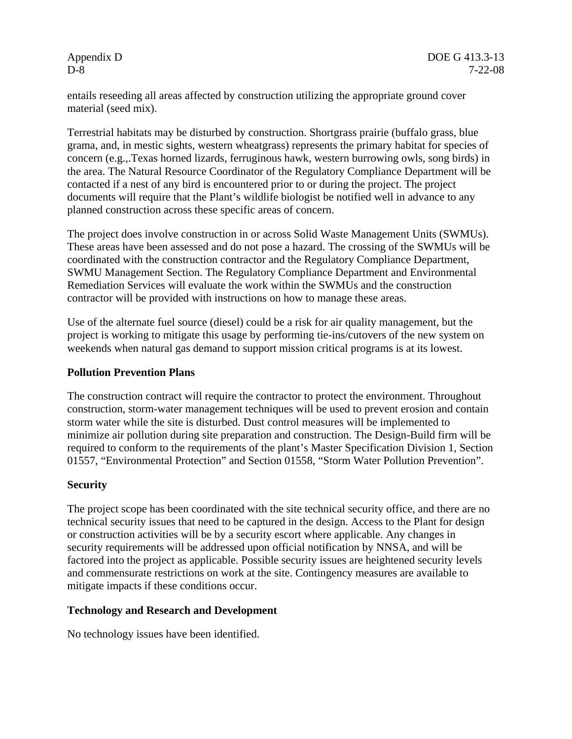entails reseeding all areas affected by construction utilizing the appropriate ground cover material (seed mix).

Terrestrial habitats may be disturbed by construction. Shortgrass prairie (buffalo grass, blue grama, and, in mestic sights, western wheatgrass) represents the primary habitat for species of concern (e.g.,.Texas horned lizards, ferruginous hawk, western burrowing owls, song birds) in the area. The Natural Resource Coordinator of the Regulatory Compliance Department will be contacted if a nest of any bird is encountered prior to or during the project. The project documents will require that the Plant's wildlife biologist be notified well in advance to any planned construction across these specific areas of concern.

The project does involve construction in or across Solid Waste Management Units (SWMUs). These areas have been assessed and do not pose a hazard. The crossing of the SWMUs will be coordinated with the construction contractor and the Regulatory Compliance Department, SWMU Management Section. The Regulatory Compliance Department and Environmental Remediation Services will evaluate the work within the SWMUs and the construction contractor will be provided with instructions on how to manage these areas.

Use of the alternate fuel source (diesel) could be a risk for air quality management, but the project is working to mitigate this usage by performing tie-ins/cutovers of the new system on weekends when natural gas demand to support mission critical programs is at its lowest.

# **Pollution Prevention Plans**

The construction contract will require the contractor to protect the environment. Throughout construction, storm-water management techniques will be used to prevent erosion and contain storm water while the site is disturbed. Dust control measures will be implemented to minimize air pollution during site preparation and construction. The Design-Build firm will be required to conform to the requirements of the plant's Master Specification Division 1, Section 01557, "Environmental Protection" and Section 01558, "Storm Water Pollution Prevention".

#### **Security**

The project scope has been coordinated with the site technical security office, and there are no technical security issues that need to be captured in the design. Access to the Plant for design or construction activities will be by a security escort where applicable. Any changes in security requirements will be addressed upon official notification by NNSA, and will be factored into the project as applicable. Possible security issues are heightened security levels and commensurate restrictions on work at the site. Contingency measures are available to mitigate impacts if these conditions occur.

#### **Technology and Research and Development**

No technology issues have been identified.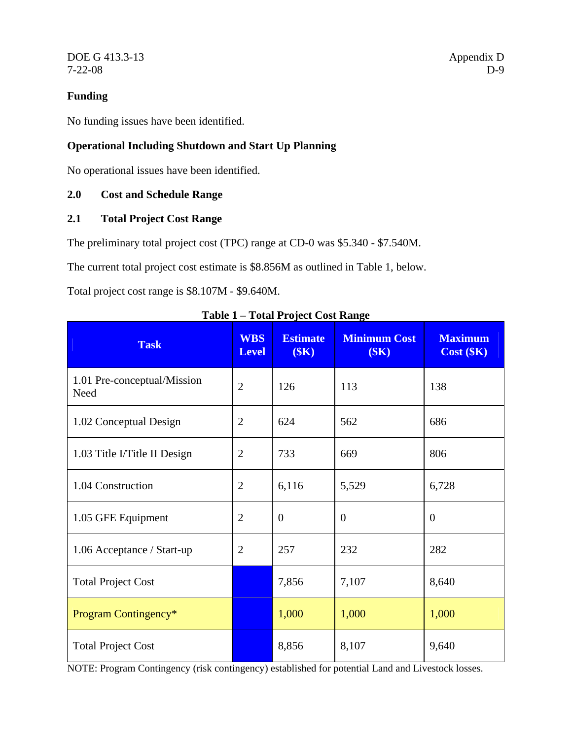DOE G 413.3-13 Appendix D 7-22-08 D-9

# **Funding**

No funding issues have been identified.

# **Operational Including Shutdown and Start Up Planning**

No operational issues have been identified.

# **2.0 Cost and Schedule Range**

# **2.1 Total Project Cost Range**

The preliminary total project cost (TPC) range at CD-0 was \$5.340 - \$7.540M.

The current total project cost estimate is \$8.856M as outlined in Table 1, below.

Total project cost range is \$8.107M - \$9.640M.

| <b>Task</b>                         | <b>WBS</b><br><b>Level</b> | <b>Estimate</b><br>(SK) | <b>Minimum Cost</b><br>(SK) | <b>Maximum</b><br>$Cost$ ( $K$ ) |
|-------------------------------------|----------------------------|-------------------------|-----------------------------|----------------------------------|
| 1.01 Pre-conceptual/Mission<br>Need | $\overline{2}$             | 126                     | 113                         | 138                              |
| 1.02 Conceptual Design              | 2                          | 624                     | 562                         | 686                              |
| 1.03 Title I/Title II Design        | $\overline{2}$             | 733                     | 669                         | 806                              |
| 1.04 Construction                   | $\overline{2}$             | 6,116                   | 5,529                       | 6,728                            |
| 1.05 GFE Equipment                  | 2                          | $\overline{0}$          | $\overline{0}$              | $\overline{0}$                   |
| 1.06 Acceptance / Start-up          | $\overline{2}$             | 257                     | 232                         | 282                              |
| <b>Total Project Cost</b>           |                            | 7,856                   | 7,107                       | 8,640                            |
| Program Contingency*                |                            | 1,000                   | 1,000                       | 1,000                            |
| <b>Total Project Cost</b>           |                            | 8,856                   | 8,107                       | 9,640                            |

**Table 1 – Total Project Cost Range** 

NOTE: Program Contingency (risk contingency) established for potential Land and Livestock losses.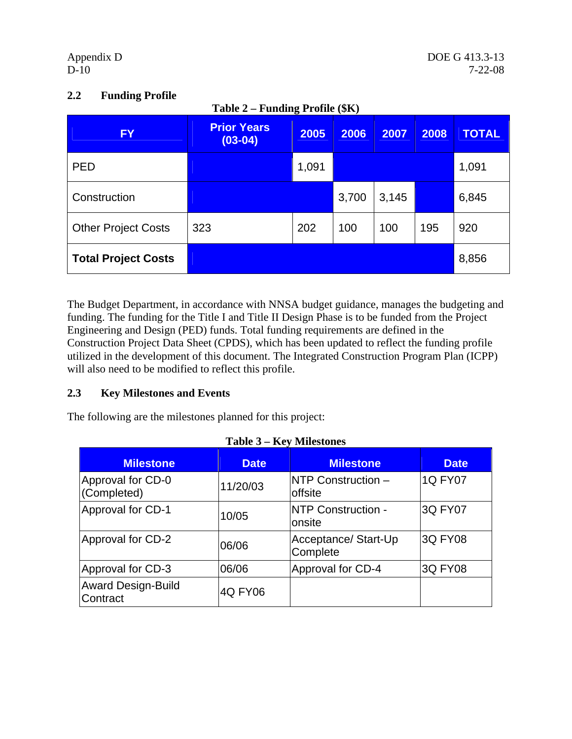| <b>FY</b>                  | <b>Prior Years</b><br>$(03-04)$ | 2005  | 2006  | 2007  | 2008 | <b>TOTAL</b> |
|----------------------------|---------------------------------|-------|-------|-------|------|--------------|
| <b>PED</b>                 |                                 | 1,091 |       |       |      | 1,091        |
| Construction               |                                 |       | 3,700 | 3,145 |      | 6,845        |
| <b>Other Project Costs</b> | 323                             | 202   | 100   | 100   | 195  | 920          |
| <b>Total Project Costs</b> |                                 |       |       |       |      | 8,856        |

# **2.2 Funding Profile**

The Budget Department, in accordance with NNSA budget guidance, manages the budgeting and funding. The funding for the Title I and Title II Design Phase is to be funded from the Project Engineering and Design (PED) funds. Total funding requirements are defined in the Construction Project Data Sheet (CPDS), which has been updated to reflect the funding profile utilized in the development of this document. The Integrated Construction Program Plan (ICPP) will also need to be modified to reflect this profile.

# **2.3 Key Milestones and Events**

The following are the milestones planned for this project:

| <b>Milestone</b>                      | <b>Date</b> | <b>Milestone</b>                 | <b>Date</b>    |
|---------------------------------------|-------------|----------------------------------|----------------|
| Approval for CD-0<br>(Completed)      | 11/20/03    | NTP Construction -<br>offsite    | <b>1Q FY07</b> |
| Approval for CD-1                     | 10/05       | NTP Construction -<br>onsite     | 3Q FY07        |
| Approval for CD-2                     | 06/06       | Acceptance/ Start-Up<br>Complete | <b>3Q FY08</b> |
| Approval for CD-3                     | 06/06       | Approval for CD-4                | <b>3Q FY08</b> |
| <b>Award Design-Build</b><br>Contract | 4Q FY06     |                                  |                |

| Table 3 – Key Milestones |  |
|--------------------------|--|
|--------------------------|--|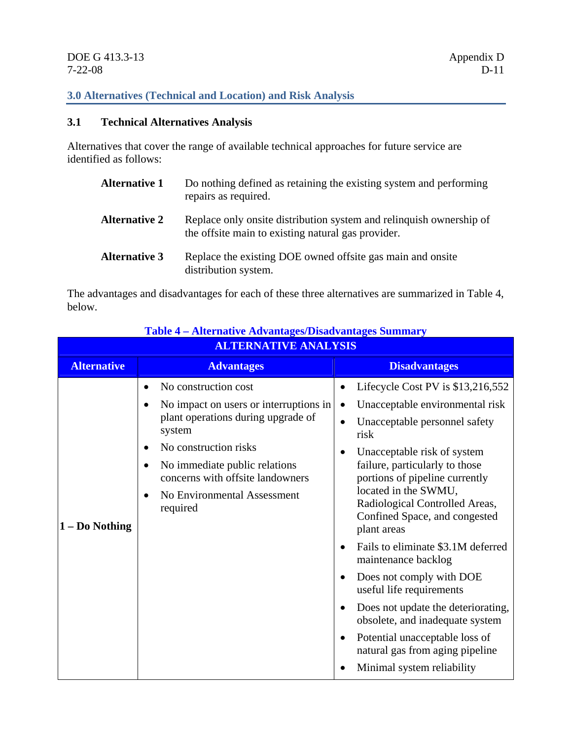# **3.0 Alternatives (Technical and Location) and Risk Analysis**

# **3.1 Technical Alternatives Analysis**

Alternatives that cover the range of available technical approaches for future service are identified as follows:

| <b>Alternative 1</b> | Do nothing defined as retaining the existing system and performing<br>repairs as required.                                |
|----------------------|---------------------------------------------------------------------------------------------------------------------------|
| <b>Alternative 2</b> | Replace only onsite distribution system and relinquish ownership of<br>the offsite main to existing natural gas provider. |
| <b>Alternative 3</b> | Replace the existing DOE owned offsite gas main and onsite<br>distribution system.                                        |

The advantages and disadvantages for each of these three alternatives are summarized in Table 4, below.

| <b>Alternative</b><br><b>Disadvantages</b><br><b>Advantages</b><br>No construction cost<br>$\bullet$<br>$\bullet$<br>Unacceptable environmental risk<br>No impact on users or interruptions in<br>$\bullet$<br>$\bullet$<br>plant operations during upgrade of<br>Unacceptable personnel safety<br>$\bullet$<br>system<br>risk<br>No construction risks<br>$\bullet$<br>Unacceptable risk of system<br>$\bullet$<br>failure, particularly to those<br>No immediate public relations<br>$\bullet$<br>concerns with offsite landowners<br>portions of pipeline currently<br>located in the SWMU,<br>No Environmental Assessment<br>$\bullet$<br>Radiological Controlled Areas,<br>required<br>Confined Space, and congested<br>1 - Do Nothing<br>plant areas<br>$\bullet$<br>maintenance backlog<br>Does not comply with DOE<br>٠<br>useful life requirements<br>$\bullet$<br>obsolete, and inadequate system<br>Potential unacceptable loss of<br>$\bullet$ | <b>ALTERNATIVE ANALYSIS</b> |  |                                                                                                                                                  |  |  |  |
|------------------------------------------------------------------------------------------------------------------------------------------------------------------------------------------------------------------------------------------------------------------------------------------------------------------------------------------------------------------------------------------------------------------------------------------------------------------------------------------------------------------------------------------------------------------------------------------------------------------------------------------------------------------------------------------------------------------------------------------------------------------------------------------------------------------------------------------------------------------------------------------------------------------------------------------------------------|-----------------------------|--|--------------------------------------------------------------------------------------------------------------------------------------------------|--|--|--|
|                                                                                                                                                                                                                                                                                                                                                                                                                                                                                                                                                                                                                                                                                                                                                                                                                                                                                                                                                            |                             |  |                                                                                                                                                  |  |  |  |
| Minimal system reliability                                                                                                                                                                                                                                                                                                                                                                                                                                                                                                                                                                                                                                                                                                                                                                                                                                                                                                                                 |                             |  | Lifecycle Cost PV is \$13,216,552<br>Fails to eliminate \$3.1M deferred<br>Does not update the deteriorating,<br>natural gas from aging pipeline |  |  |  |

# **Table 4 – Alternative Advantages/Disadvantages Summary**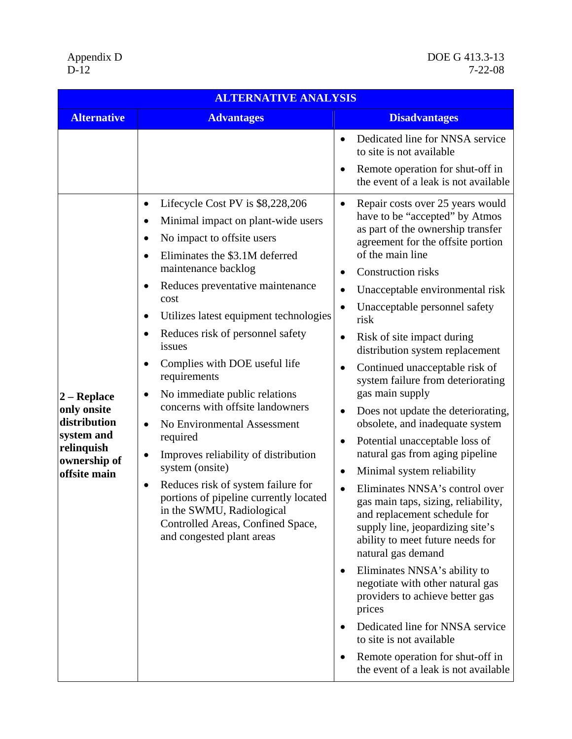DOE G 413.3-13<br>7-22-08

| <b>ALTERNATIVE ANALYSIS</b>                                                                                         |                                                                                                                                                                                                                                                                                                                                                                                                                                                                                                                                                                                                                                                                                                                                                                                              |                                                                                                                                                                                                                                                                                                                                                                                                                                                                                                                                                                                                                                                                                                                                                                                                                                                                                                                                                                                                                                                                                                                                                                                                |  |  |  |
|---------------------------------------------------------------------------------------------------------------------|----------------------------------------------------------------------------------------------------------------------------------------------------------------------------------------------------------------------------------------------------------------------------------------------------------------------------------------------------------------------------------------------------------------------------------------------------------------------------------------------------------------------------------------------------------------------------------------------------------------------------------------------------------------------------------------------------------------------------------------------------------------------------------------------|------------------------------------------------------------------------------------------------------------------------------------------------------------------------------------------------------------------------------------------------------------------------------------------------------------------------------------------------------------------------------------------------------------------------------------------------------------------------------------------------------------------------------------------------------------------------------------------------------------------------------------------------------------------------------------------------------------------------------------------------------------------------------------------------------------------------------------------------------------------------------------------------------------------------------------------------------------------------------------------------------------------------------------------------------------------------------------------------------------------------------------------------------------------------------------------------|--|--|--|
| <b>Alternative</b>                                                                                                  | <b>Advantages</b>                                                                                                                                                                                                                                                                                                                                                                                                                                                                                                                                                                                                                                                                                                                                                                            | <b>Disadvantages</b>                                                                                                                                                                                                                                                                                                                                                                                                                                                                                                                                                                                                                                                                                                                                                                                                                                                                                                                                                                                                                                                                                                                                                                           |  |  |  |
|                                                                                                                     |                                                                                                                                                                                                                                                                                                                                                                                                                                                                                                                                                                                                                                                                                                                                                                                              | Dedicated line for NNSA service<br>$\bullet$<br>to site is not available<br>Remote operation for shut-off in<br>the event of a leak is not available                                                                                                                                                                                                                                                                                                                                                                                                                                                                                                                                                                                                                                                                                                                                                                                                                                                                                                                                                                                                                                           |  |  |  |
| $ 2 - \mathbf{Replace} $<br>only onsite<br>distribution<br>system and<br>relinquish<br>ownership of<br>offsite main | Lifecycle Cost PV is \$8,228,206<br>٠<br>Minimal impact on plant-wide users<br>$\bullet$<br>No impact to offsite users<br>Eliminates the \$3.1M deferred<br>maintenance backlog<br>Reduces preventative maintenance<br>cost<br>Utilizes latest equipment technologies<br>Reduces risk of personnel safety<br>٠<br>issues<br>Complies with DOE useful life<br>$\bullet$<br>requirements<br>No immediate public relations<br>٠<br>concerns with offsite landowners<br>No Environmental Assessment<br>$\bullet$<br>required<br>Improves reliability of distribution<br>$\bullet$<br>system (onsite)<br>Reduces risk of system failure for<br>$\bullet$<br>portions of pipeline currently located<br>in the SWMU, Radiological<br>Controlled Areas, Confined Space,<br>and congested plant areas | Repair costs over 25 years would<br>$\bullet$<br>have to be "accepted" by Atmos<br>as part of the ownership transfer<br>agreement for the offsite portion<br>of the main line<br>Construction risks<br>Unacceptable environmental risk<br>$\bullet$<br>Unacceptable personnel safety<br>risk<br>Risk of site impact during<br>$\bullet$<br>distribution system replacement<br>Continued unacceptable risk of<br>$\bullet$<br>system failure from deteriorating<br>gas main supply<br>Does not update the deteriorating,<br>$\bullet$<br>obsolete, and inadequate system<br>Potential unacceptable loss of<br>٠<br>natural gas from aging pipeline<br>Minimal system reliability<br>$\bullet$<br>Eliminates NNSA's control over<br>$\bullet$<br>gas main taps, sizing, reliability,<br>and replacement schedule for<br>supply line, jeopardizing site's<br>ability to meet future needs for<br>natural gas demand<br>Eliminates NNSA's ability to<br>$\bullet$<br>negotiate with other natural gas<br>providers to achieve better gas<br>prices<br>Dedicated line for NNSA service<br>to site is not available<br>Remote operation for shut-off in<br>٠<br>the event of a leak is not available |  |  |  |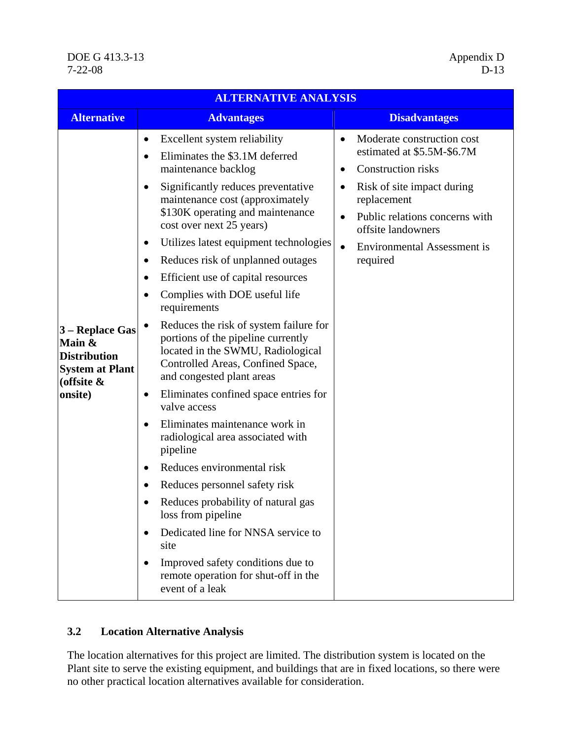| <b>ALTERNATIVE ANALYSIS</b>                                                                            |                                                                                                                                                                                                                                                                                                                                                                                                                                                                                                                                                                                                                                                                                                                                                                                                                                                                                                                                                                                                                                                                                                                                                              |                                                                                                                                                                                                                                                   |  |  |  |
|--------------------------------------------------------------------------------------------------------|--------------------------------------------------------------------------------------------------------------------------------------------------------------------------------------------------------------------------------------------------------------------------------------------------------------------------------------------------------------------------------------------------------------------------------------------------------------------------------------------------------------------------------------------------------------------------------------------------------------------------------------------------------------------------------------------------------------------------------------------------------------------------------------------------------------------------------------------------------------------------------------------------------------------------------------------------------------------------------------------------------------------------------------------------------------------------------------------------------------------------------------------------------------|---------------------------------------------------------------------------------------------------------------------------------------------------------------------------------------------------------------------------------------------------|--|--|--|
| <b>Alternative</b>                                                                                     | <b>Advantages</b>                                                                                                                                                                                                                                                                                                                                                                                                                                                                                                                                                                                                                                                                                                                                                                                                                                                                                                                                                                                                                                                                                                                                            | <b>Disadvantages</b>                                                                                                                                                                                                                              |  |  |  |
| 3 – Replace Gas<br>Main &<br><b>Distribution</b><br><b>System at Plant</b><br>(offsite $\&$<br>onsite) | Excellent system reliability<br>٠<br>Eliminates the \$3.1M deferred<br>$\bullet$<br>maintenance backlog<br>Significantly reduces preventative<br>$\bullet$<br>maintenance cost (approximately<br>\$130K operating and maintenance<br>cost over next 25 years)<br>Utilizes latest equipment technologies<br>٠<br>Reduces risk of unplanned outages<br>$\bullet$<br>Efficient use of capital resources<br>$\bullet$<br>Complies with DOE useful life<br>requirements<br>Reduces the risk of system failure for<br>portions of the pipeline currently<br>located in the SWMU, Radiological<br>Controlled Areas, Confined Space,<br>and congested plant areas<br>Eliminates confined space entries for<br>$\bullet$<br>valve access<br>Eliminates maintenance work in<br>$\bullet$<br>radiological area associated with<br>pipeline<br>Reduces environmental risk<br>$\bullet$<br>Reduces personnel safety risk<br>$\bullet$<br>Reduces probability of natural gas<br>loss from pipeline<br>Dedicated line for NNSA service to<br>$\bullet$<br>site<br>Improved safety conditions due to<br>$\bullet$<br>remote operation for shut-off in the<br>event of a leak | Moderate construction cost<br>estimated at \$5.5M-\$6.7M<br><b>Construction risks</b><br>٠<br>Risk of site impact during<br>replacement<br>Public relations concerns with<br>offsite landowners<br><b>Environmental Assessment is</b><br>required |  |  |  |

# **3.2 Location Alternative Analysis**

The location alternatives for this project are limited. The distribution system is located on the Plant site to serve the existing equipment, and buildings that are in fixed locations, so there were no other practical location alternatives available for consideration.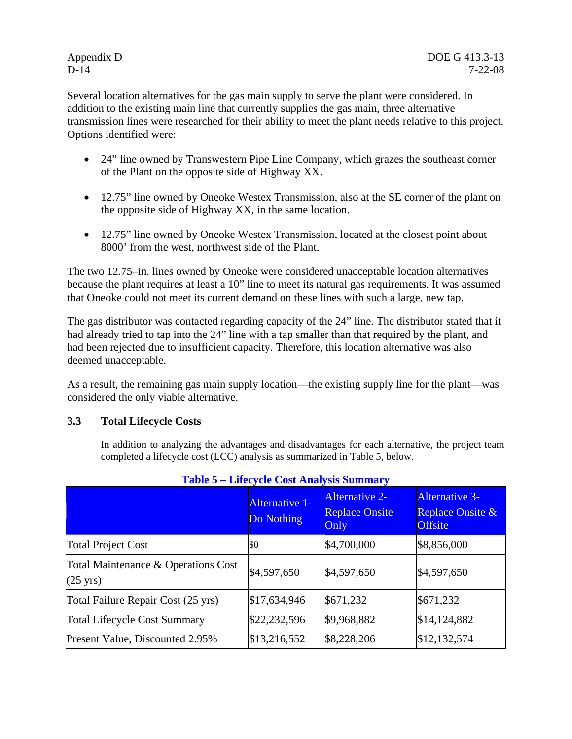Several location alternatives for the gas main supply to serve the plant were considered. In addition to the existing main line that currently supplies the gas main, three alternative transmission lines were researched for their ability to meet the plant needs relative to this project. Options identified were:

- 24" line owned by Transwestern Pipe Line Company, which grazes the southeast corner of the Plant on the opposite side of Highway XX.
- 12.75" line owned by Oneoke Westex Transmission, also at the SE corner of the plant on the opposite side of Highway XX, in the same location.
- 12.75" line owned by Oneoke Westex Transmission, located at the closest point about 8000' from the west, northwest side of the Plant.

The two 12.75–in. lines owned by Oneoke were considered unacceptable location alternatives because the plant requires at least a 10" line to meet its natural gas requirements. It was assumed that Oneoke could not meet its current demand on these lines with such a large, new tap.

The gas distributor was contacted regarding capacity of the 24" line. The distributor stated that it had already tried to tap into the 24" line with a tap smaller than that required by the plant, and had been rejected due to insufficient capacity. Therefore, this location alternative was also deemed unacceptable.

As a result, the remaining gas main supply location—the existing supply line for the plant—was considered the only viable alternative.

# **3.3 Total Lifecycle Costs**

In addition to analyzing the advantages and disadvantages for each alternative, the project team completed a lifecycle cost (LCC) analysis as summarized in Table 5, below.

|                                                           | Alternative 1-<br>Do Nothing | <b>Alternative 2-</b><br><b>Replace Onsite</b><br>Only | <b>Alternative 3-</b><br>Replace Onsite &<br><b>Offsite</b> |
|-----------------------------------------------------------|------------------------------|--------------------------------------------------------|-------------------------------------------------------------|
| <b>Total Project Cost</b>                                 | \$0                          | \$4,700,000                                            | \$8,856,000                                                 |
| Total Maintenance & Operations Cost<br>$(25 \text{ yrs})$ | \$4,597,650                  | \$4,597,650                                            | \$4,597,650                                                 |
| Total Failure Repair Cost (25 yrs)                        | \$17,634,946                 | \$671,232                                              | \$671,232                                                   |
| <b>Total Lifecycle Cost Summary</b>                       | \$22,232,596                 | \$9,968,882                                            | \$14,124,882                                                |
| Present Value, Discounted 2.95%                           | \$13,216,552                 | \$8,228,206                                            | \$12,132,574                                                |

**Table 5 – Lifecycle Cost Analysis Summary**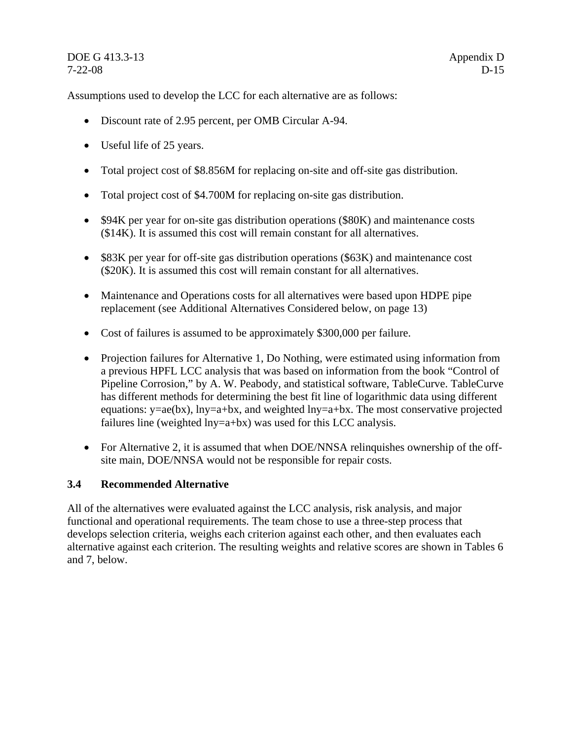Assumptions used to develop the LCC for each alternative are as follows:

- Discount rate of 2.95 percent, per OMB Circular A-94.
- Useful life of 25 years.
- Total project cost of \$8.856M for replacing on-site and off-site gas distribution.
- Total project cost of \$4.700M for replacing on-site gas distribution.
- \$94K per year for on-site gas distribution operations (\$80K) and maintenance costs (\$14K). It is assumed this cost will remain constant for all alternatives.
- \$83K per year for off-site gas distribution operations (\$63K) and maintenance cost (\$20K). It is assumed this cost will remain constant for all alternatives.
- Maintenance and Operations costs for all alternatives were based upon HDPE pipe replacement (see Additional Alternatives Considered below, on page 13)
- Cost of failures is assumed to be approximately \$300,000 per failure.
- Projection failures for Alternative 1, Do Nothing, were estimated using information from a previous HPFL LCC analysis that was based on information from the book "Control of Pipeline Corrosion," by A. W. Peabody, and statistical software, TableCurve. TableCurve has different methods for determining the best fit line of logarithmic data using different equations:  $y = ae(bx)$ ,  $lny=a+bx$ , and weighted  $lny=a+bx$ . The most conservative projected failures line (weighted lny=a+bx) was used for this LCC analysis.
- For Alternative 2, it is assumed that when DOE/NNSA relinquishes ownership of the offsite main, DOE/NNSA would not be responsible for repair costs.

# **3.4 Recommended Alternative**

All of the alternatives were evaluated against the LCC analysis, risk analysis, and major functional and operational requirements. The team chose to use a three-step process that develops selection criteria, weighs each criterion against each other, and then evaluates each alternative against each criterion. The resulting weights and relative scores are shown in Tables 6 and 7, below.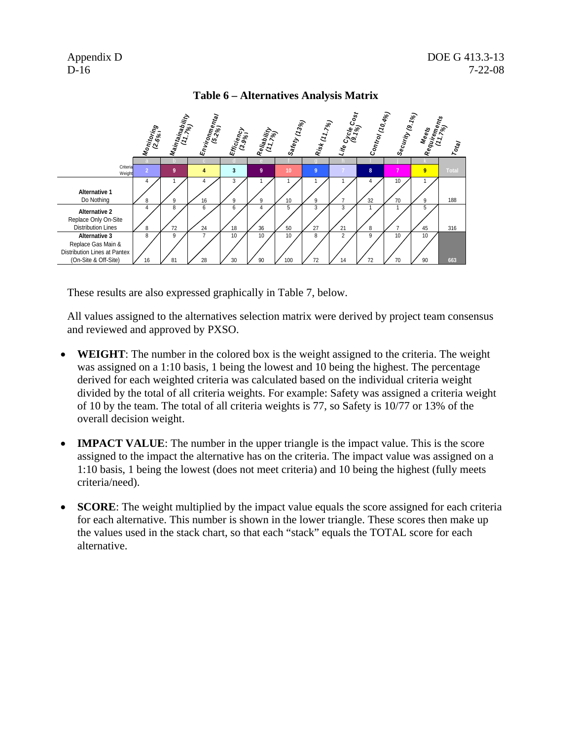

# **Table 6 – Alternatives Analysis Matrix**

These results are also expressed graphically in Table 7, below.

All values assigned to the alternatives selection matrix were derived by project team consensus and reviewed and approved by PXSO.

- **WEIGHT**: The number in the colored box is the weight assigned to the criteria. The weight was assigned on a 1:10 basis, 1 being the lowest and 10 being the highest. The percentage derived for each weighted criteria was calculated based on the individual criteria weight divided by the total of all criteria weights. For example: Safety was assigned a criteria weight of 10 by the team. The total of all criteria weights is 77, so Safety is 10/77 or 13% of the overall decision weight.
- **IMPACT VALUE**: The number in the upper triangle is the impact value. This is the score assigned to the impact the alternative has on the criteria. The impact value was assigned on a 1:10 basis, 1 being the lowest (does not meet criteria) and 10 being the highest (fully meets criteria/need).
- **SCORE:** The weight multiplied by the impact value equals the score assigned for each criteria for each alternative. This number is shown in the lower triangle. These scores then make up the values used in the stack chart, so that each "stack" equals the TOTAL score for each alternative.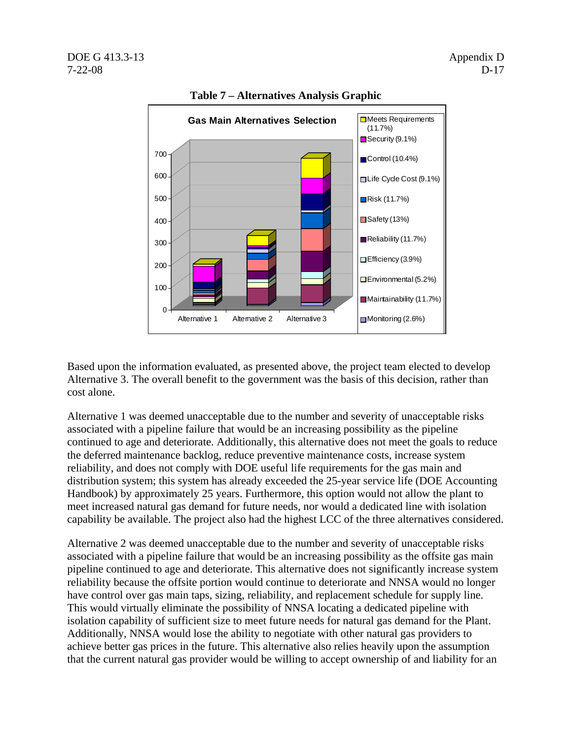

**Table 7 – Alternatives Analysis Graphic** 

Based upon the information evaluated, as presented above, the project team elected to develop Alternative 3. The overall benefit to the government was the basis of this decision, rather than cost alone.

Alternative 1 was deemed unacceptable due to the number and severity of unacceptable risks associated with a pipeline failure that would be an increasing possibility as the pipeline continued to age and deteriorate. Additionally, this alternative does not meet the goals to reduce the deferred maintenance backlog, reduce preventive maintenance costs, increase system reliability, and does not comply with DOE useful life requirements for the gas main and distribution system; this system has already exceeded the 25-year service life (DOE Accounting Handbook) by approximately 25 years. Furthermore, this option would not allow the plant to meet increased natural gas demand for future needs, nor would a dedicated line with isolation capability be available. The project also had the highest LCC of the three alternatives considered.

Alternative 2 was deemed unacceptable due to the number and severity of unacceptable risks associated with a pipeline failure that would be an increasing possibility as the offsite gas main pipeline continued to age and deteriorate. This alternative does not significantly increase system reliability because the offsite portion would continue to deteriorate and NNSA would no longer have control over gas main taps, sizing, reliability, and replacement schedule for supply line. This would virtually eliminate the possibility of NNSA locating a dedicated pipeline with isolation capability of sufficient size to meet future needs for natural gas demand for the Plant. Additionally, NNSA would lose the ability to negotiate with other natural gas providers to achieve better gas prices in the future. This alternative also relies heavily upon the assumption that the current natural gas provider would be willing to accept ownership of and liability for an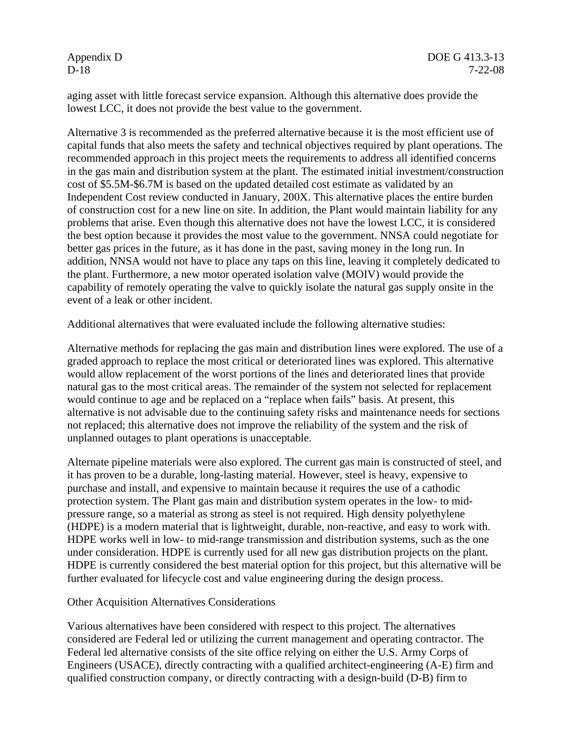aging asset with little forecast service expansion. Although this alternative does provide the lowest LCC, it does not provide the best value to the government.

Alternative 3 is recommended as the preferred alternative because it is the most efficient use of capital funds that also meets the safety and technical objectives required by plant operations. The recommended approach in this project meets the requirements to address all identified concerns in the gas main and distribution system at the plant. The estimated initial investment/construction cost of \$5.5M-\$6.7M is based on the updated detailed cost estimate as validated by an Independent Cost review conducted in January, 200X. This alternative places the entire burden of construction cost for a new line on site. In addition, the Plant would maintain liability for any problems that arise. Even though this alternative does not have the lowest LCC, it is considered the best option because it provides the most value to the government. NNSA could negotiate for better gas prices in the future, as it has done in the past, saving money in the long run. In addition, NNSA would not have to place any taps on this line, leaving it completely dedicated to the plant. Furthermore, a new motor operated isolation valve (MOIV) would provide the capability of remotely operating the valve to quickly isolate the natural gas supply onsite in the event of a leak or other incident.

Additional alternatives that were evaluated include the following alternative studies:

Alternative methods for replacing the gas main and distribution lines were explored. The use of a graded approach to replace the most critical or deteriorated lines was explored. This alternative would allow replacement of the worst portions of the lines and deteriorated lines that provide natural gas to the most critical areas. The remainder of the system not selected for replacement would continue to age and be replaced on a "replace when fails" basis. At present, this alternative is not advisable due to the continuing safety risks and maintenance needs for sections not replaced; this alternative does not improve the reliability of the system and the risk of unplanned outages to plant operations is unacceptable.

Alternate pipeline materials were also explored. The current gas main is constructed of steel, and it has proven to be a durable, long-lasting material. However, steel is heavy, expensive to purchase and install, and expensive to maintain because it requires the use of a cathodic protection system. The Plant gas main and distribution system operates in the low- to midpressure range, so a material as strong as steel is not required. High density polyethylene (HDPE) is a modern material that is lightweight, durable, non-reactive, and easy to work with. HDPE works well in low- to mid-range transmission and distribution systems, such as the one under consideration. HDPE is currently used for all new gas distribution projects on the plant. HDPE is currently considered the best material option for this project, but this alternative will be further evaluated for lifecycle cost and value engineering during the design process.

#### Other Acquisition Alternatives Considerations

Various alternatives have been considered with respect to this project. The alternatives considered are Federal led or utilizing the current management and operating contractor. The Federal led alternative consists of the site office relying on either the U.S. Army Corps of Engineers (USACE), directly contracting with a qualified architect-engineering (A-E) firm and qualified construction company, or directly contracting with a design-build (D-B) firm to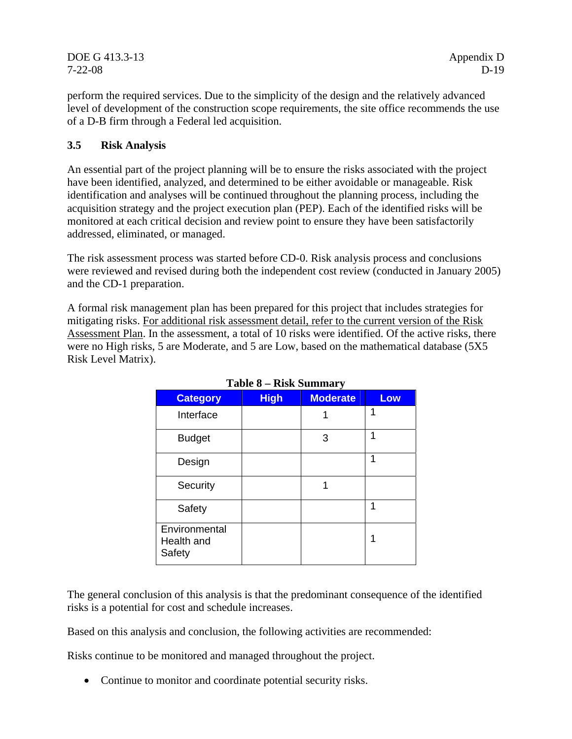DOE G 413.3-13 Appendix D 7-22-08 D-19

perform the required services. Due to the simplicity of the design and the relatively advanced level of development of the construction scope requirements, the site office recommends the use of a D-B firm through a Federal led acquisition.

# **3.5 Risk Analysis**

An essential part of the project planning will be to ensure the risks associated with the project have been identified, analyzed, and determined to be either avoidable or manageable. Risk identification and analyses will be continued throughout the planning process, including the acquisition strategy and the project execution plan (PEP). Each of the identified risks will be monitored at each critical decision and review point to ensure they have been satisfactorily addressed, eliminated, or managed.

The risk assessment process was started before CD-0. Risk analysis process and conclusions were reviewed and revised during both the independent cost review (conducted in January 2005) and the CD-1 preparation.

A formal risk management plan has been prepared for this project that includes strategies for mitigating risks. For additional risk assessment detail, refer to the current version of the Risk Assessment Plan. In the assessment, a total of 10 risks were identified. Of the active risks, there were no High risks, 5 are Moderate, and 5 are Low, based on the mathematical database (5X5 Risk Level Matrix).

| 1 avic 0 —<br><b>INDR DUITINGLY</b>   |             |                 |     |  |  |
|---------------------------------------|-------------|-----------------|-----|--|--|
| <b>Category</b>                       | <b>High</b> | <b>Moderate</b> | Low |  |  |
| Interface                             |             |                 | 1   |  |  |
| <b>Budget</b>                         |             | 3               | 1   |  |  |
| Design                                |             |                 | 1   |  |  |
| Security                              |             |                 |     |  |  |
| Safety                                |             |                 | 1   |  |  |
| Environmental<br>Health and<br>Safety |             |                 | 1   |  |  |

# **Table 8 – Risk Summary**

The general conclusion of this analysis is that the predominant consequence of the identified risks is a potential for cost and schedule increases.

Based on this analysis and conclusion, the following activities are recommended:

Risks continue to be monitored and managed throughout the project.

• Continue to monitor and coordinate potential security risks.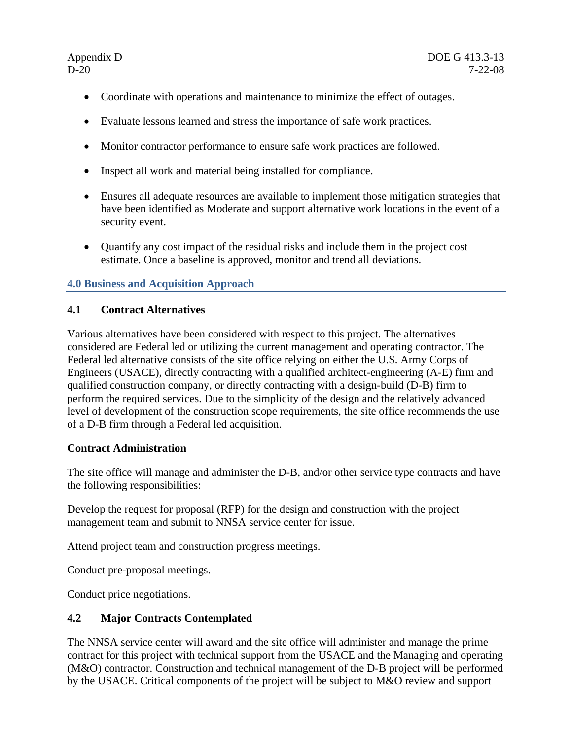- Coordinate with operations and maintenance to minimize the effect of outages.
- Evaluate lessons learned and stress the importance of safe work practices.
- Monitor contractor performance to ensure safe work practices are followed.
- Inspect all work and material being installed for compliance.
- Ensures all adequate resources are available to implement those mitigation strategies that have been identified as Moderate and support alternative work locations in the event of a security event.
- Quantify any cost impact of the residual risks and include them in the project cost estimate. Once a baseline is approved, monitor and trend all deviations.

# **4.0 Business and Acquisition Approach**

# **4.1 Contract Alternatives**

Various alternatives have been considered with respect to this project. The alternatives considered are Federal led or utilizing the current management and operating contractor. The Federal led alternative consists of the site office relying on either the U.S. Army Corps of Engineers (USACE), directly contracting with a qualified architect-engineering (A-E) firm and qualified construction company, or directly contracting with a design-build (D-B) firm to perform the required services. Due to the simplicity of the design and the relatively advanced level of development of the construction scope requirements, the site office recommends the use of a D-B firm through a Federal led acquisition.

# **Contract Administration**

The site office will manage and administer the D-B, and/or other service type contracts and have the following responsibilities:

Develop the request for proposal (RFP) for the design and construction with the project management team and submit to NNSA service center for issue.

Attend project team and construction progress meetings.

Conduct pre-proposal meetings.

Conduct price negotiations.

# **4.2 Major Contracts Contemplated**

The NNSA service center will award and the site office will administer and manage the prime contract for this project with technical support from the USACE and the Managing and operating (M&O) contractor. Construction and technical management of the D-B project will be performed by the USACE. Critical components of the project will be subject to M&O review and support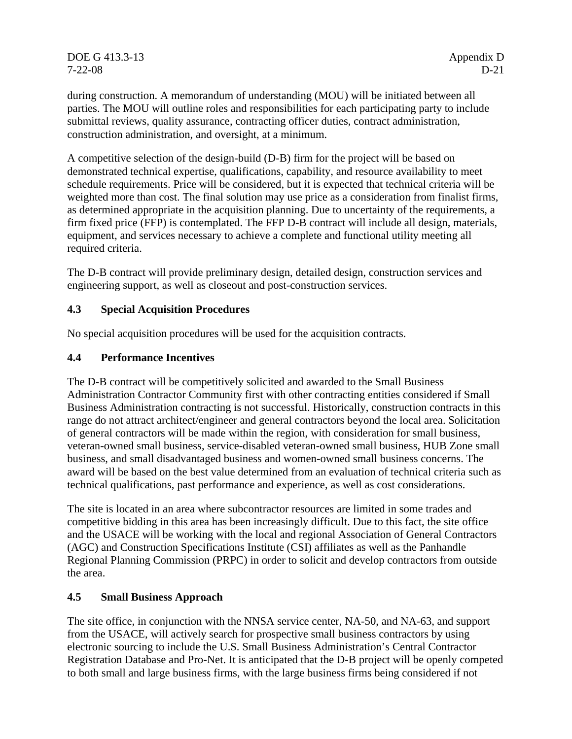DOE G 413.3-13 Appendix D 7-22-08 D-21

during construction. A memorandum of understanding (MOU) will be initiated between all parties. The MOU will outline roles and responsibilities for each participating party to include submittal reviews, quality assurance, contracting officer duties, contract administration, construction administration, and oversight, at a minimum.

A competitive selection of the design-build (D-B) firm for the project will be based on demonstrated technical expertise, qualifications, capability, and resource availability to meet schedule requirements. Price will be considered, but it is expected that technical criteria will be weighted more than cost. The final solution may use price as a consideration from finalist firms, as determined appropriate in the acquisition planning. Due to uncertainty of the requirements, a firm fixed price (FFP) is contemplated. The FFP D-B contract will include all design, materials, equipment, and services necessary to achieve a complete and functional utility meeting all required criteria.

The D-B contract will provide preliminary design, detailed design, construction services and engineering support, as well as closeout and post-construction services.

# **4.3 Special Acquisition Procedures**

No special acquisition procedures will be used for the acquisition contracts.

# **4.4 Performance Incentives**

The D-B contract will be competitively solicited and awarded to the Small Business Administration Contractor Community first with other contracting entities considered if Small Business Administration contracting is not successful. Historically, construction contracts in this range do not attract architect/engineer and general contractors beyond the local area. Solicitation of general contractors will be made within the region, with consideration for small business, veteran-owned small business, service-disabled veteran-owned small business, HUB Zone small business, and small disadvantaged business and women-owned small business concerns. The award will be based on the best value determined from an evaluation of technical criteria such as technical qualifications, past performance and experience, as well as cost considerations.

The site is located in an area where subcontractor resources are limited in some trades and competitive bidding in this area has been increasingly difficult. Due to this fact, the site office and the USACE will be working with the local and regional Association of General Contractors (AGC) and Construction Specifications Institute (CSI) affiliates as well as the Panhandle Regional Planning Commission (PRPC) in order to solicit and develop contractors from outside the area.

# **4.5 Small Business Approach**

The site office, in conjunction with the NNSA service center, NA-50, and NA-63, and support from the USACE, will actively search for prospective small business contractors by using electronic sourcing to include the U.S. Small Business Administration's Central Contractor Registration Database and Pro-Net. It is anticipated that the D-B project will be openly competed to both small and large business firms, with the large business firms being considered if not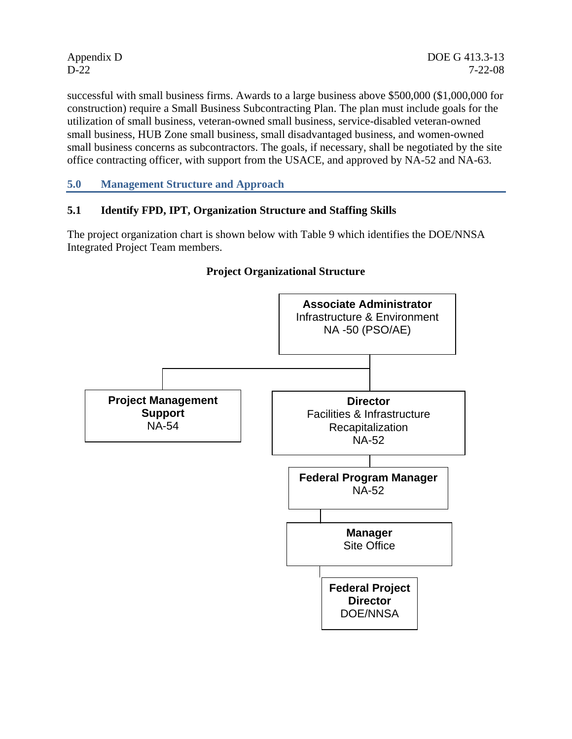successful with small business firms. Awards to a large business above \$500,000 (\$1,000,000 for construction) require a Small Business Subcontracting Plan. The plan must include goals for the utilization of small business, veteran-owned small business, service-disabled veteran-owned small business, HUB Zone small business, small disadvantaged business, and women-owned small business concerns as subcontractors. The goals, if necessary, shall be negotiated by the site office contracting officer, with support from the USACE, and approved by NA-52 and NA-63.

**5.0 Management Structure and Approach** 

# **5.1 Identify FPD, IPT, Organization Structure and Staffing Skills**

The project organization chart is shown below with Table 9 which identifies the DOE/NNSA Integrated Project Team members.



# **Project Organizational Structure**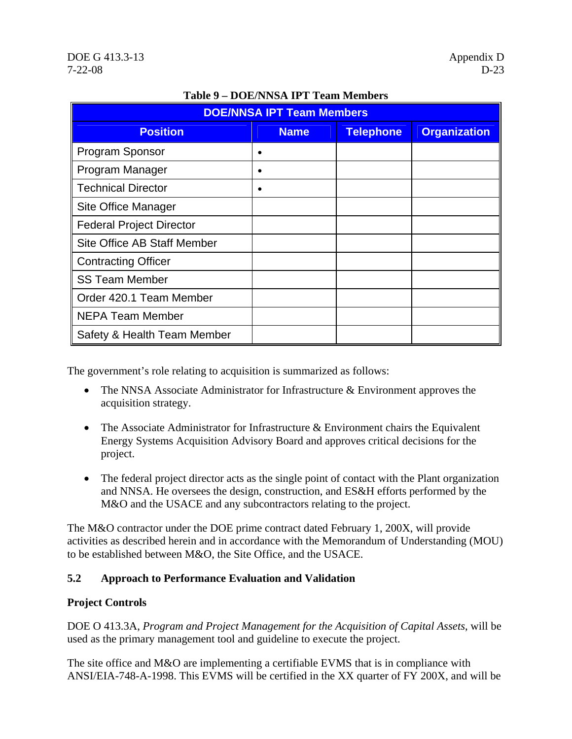| <b>DOE/NNSA IPT Team Members</b> |             |                  |                     |  |
|----------------------------------|-------------|------------------|---------------------|--|
| <b>Position</b>                  | <b>Name</b> | <b>Telephone</b> | <b>Organization</b> |  |
| Program Sponsor                  |             |                  |                     |  |
| Program Manager                  |             |                  |                     |  |
| <b>Technical Director</b>        |             |                  |                     |  |
| <b>Site Office Manager</b>       |             |                  |                     |  |
| <b>Federal Project Director</b>  |             |                  |                     |  |
| Site Office AB Staff Member      |             |                  |                     |  |
| <b>Contracting Officer</b>       |             |                  |                     |  |
| <b>SS Team Member</b>            |             |                  |                     |  |
| Order 420.1 Team Member          |             |                  |                     |  |
| <b>NEPA Team Member</b>          |             |                  |                     |  |
| Safety & Health Team Member      |             |                  |                     |  |

# **Table 9 – DOE/NNSA IPT Team Members**

The government's role relating to acquisition is summarized as follows:

- The NNSA Associate Administrator for Infrastructure & Environment approves the acquisition strategy.
- The Associate Administrator for Infrastructure & Environment chairs the Equivalent Energy Systems Acquisition Advisory Board and approves critical decisions for the project.
- The federal project director acts as the single point of contact with the Plant organization and NNSA. He oversees the design, construction, and ES&H efforts performed by the M&O and the USACE and any subcontractors relating to the project.

The M&O contractor under the DOE prime contract dated February 1, 200X, will provide activities as described herein and in accordance with the Memorandum of Understanding (MOU) to be established between M&O, the Site Office, and the USACE.

# **5.2 Approach to Performance Evaluation and Validation**

# **Project Controls**

DOE O 413.3A, *Program and Project Management for the Acquisition of Capital Assets*, will be used as the primary management tool and guideline to execute the project.

The site office and M&O are implementing a certifiable EVMS that is in compliance with ANSI/EIA-748-A-1998. This EVMS will be certified in the XX quarter of FY 200X, and will be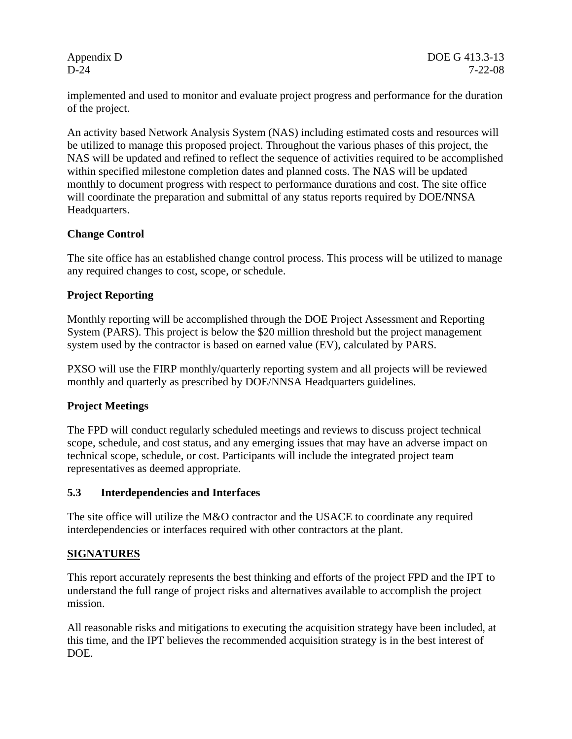implemented and used to monitor and evaluate project progress and performance for the duration of the project.

An activity based Network Analysis System (NAS) including estimated costs and resources will be utilized to manage this proposed project. Throughout the various phases of this project, the NAS will be updated and refined to reflect the sequence of activities required to be accomplished within specified milestone completion dates and planned costs. The NAS will be updated monthly to document progress with respect to performance durations and cost. The site office will coordinate the preparation and submittal of any status reports required by DOE/NNSA Headquarters.

# **Change Control**

The site office has an established change control process. This process will be utilized to manage any required changes to cost, scope, or schedule.

# **Project Reporting**

Monthly reporting will be accomplished through the DOE Project Assessment and Reporting System (PARS). This project is below the \$20 million threshold but the project management system used by the contractor is based on earned value (EV), calculated by PARS.

PXSO will use the FIRP monthly/quarterly reporting system and all projects will be reviewed monthly and quarterly as prescribed by DOE/NNSA Headquarters guidelines.

# **Project Meetings**

The FPD will conduct regularly scheduled meetings and reviews to discuss project technical scope, schedule, and cost status, and any emerging issues that may have an adverse impact on technical scope, schedule, or cost. Participants will include the integrated project team representatives as deemed appropriate.

# **5.3 Interdependencies and Interfaces**

The site office will utilize the M&O contractor and the USACE to coordinate any required interdependencies or interfaces required with other contractors at the plant.

# **SIGNATURES**

This report accurately represents the best thinking and efforts of the project FPD and the IPT to understand the full range of project risks and alternatives available to accomplish the project mission.

All reasonable risks and mitigations to executing the acquisition strategy have been included, at this time, and the IPT believes the recommended acquisition strategy is in the best interest of DOE.